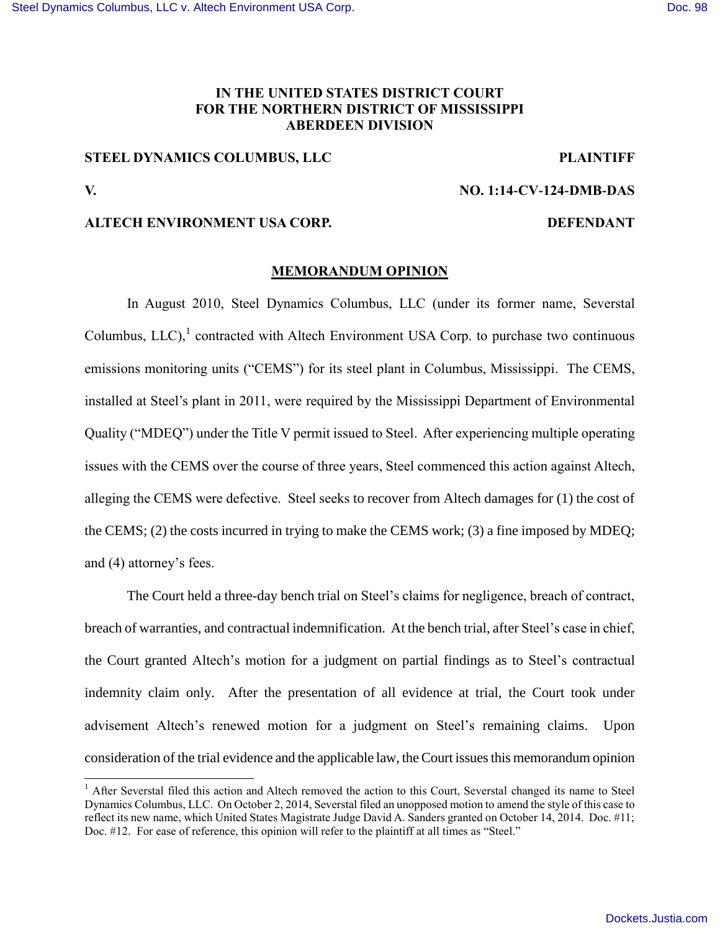# **IN THE UNITED STATES DISTRICT COURT FOR THE NORTHERN DISTRICT OF MISSISSIPPI ABERDEEN DIVISION**

# **STEEL DYNAMICS COLUMBUS, LLC PLAINTIFF**

 $\overline{a}$ 

## **V. NO. 1:14-CV-124-DMB-DAS**

## **ALTECH ENVIRONMENT USA CORP. DEFENDANT**

## **MEMORANDUM OPINION**

In August 2010, Steel Dynamics Columbus, LLC (under its former name, Severstal Columbus,  $LLC$ ),<sup>1</sup> contracted with Altech Environment USA Corp. to purchase two continuous emissions monitoring units ("CEMS") for its steel plant in Columbus, Mississippi. The CEMS, installed at Steel's plant in 2011, were required by the Mississippi Department of Environmental Quality ("MDEQ") under the Title V permit issued to Steel. After experiencing multiple operating issues with the CEMS over the course of three years, Steel commenced this action against Altech, alleging the CEMS were defective. Steel seeks to recover from Altech damages for (1) the cost of the CEMS; (2) the costs incurred in trying to make the CEMS work; (3) a fine imposed by MDEQ; and (4) attorney's fees.

The Court held a three-day bench trial on Steel's claims for negligence, breach of contract, breach of warranties, and contractual indemnification. At the bench trial, after Steel's case in chief, the Court granted Altech's motion for a judgment on partial findings as to Steel's contractual indemnity claim only. After the presentation of all evidence at trial, the Court took under advisement Altech's renewed motion for a judgment on Steel's remaining claims. Upon consideration of the trial evidence and the applicable law, the Court issues this memorandum opinion

<sup>&</sup>lt;sup>1</sup> After Severstal filed this action and Altech removed the action to this Court, Severstal changed its name to Steel Dynamics Columbus, LLC. On October 2, 2014, Severstal filed an unopposed motion to amend the style of this case to reflect its new name, which United States Magistrate Judge David A. Sanders granted on October 14, 2014. Doc. #11; Doc. #12. For ease of reference, this opinion will refer to the plaintiff at all times as "Steel."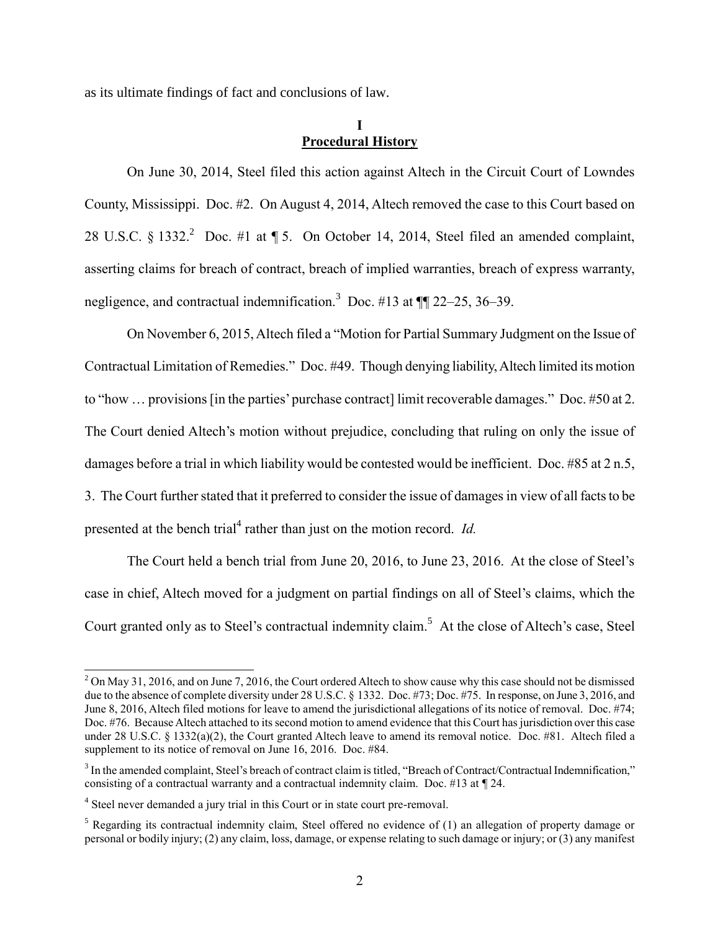as its ultimate findings of fact and conclusions of law.

## **I Procedural History**

On June 30, 2014, Steel filed this action against Altech in the Circuit Court of Lowndes County, Mississippi. Doc. #2. On August 4, 2014, Altech removed the case to this Court based on 28 U.S.C. § 1332.<sup>2</sup> Doc. #1 at ¶ 5. On October 14, 2014, Steel filed an amended complaint, asserting claims for breach of contract, breach of implied warranties, breach of express warranty, negligence, and contractual indemnification.<sup>3</sup> Doc. #13 at  $\P$  22–25, 36–39.

On November 6, 2015, Altech filed a "Motion for Partial Summary Judgment on the Issue of Contractual Limitation of Remedies." Doc. #49. Though denying liability, Altech limited its motion to "how … provisions [in the parties' purchase contract] limit recoverable damages." Doc. #50 at 2. The Court denied Altech's motion without prejudice, concluding that ruling on only the issue of damages before a trial in which liability would be contested would be inefficient. Doc. #85 at 2 n.5, 3. The Court further stated that it preferred to consider the issue of damages in view of all facts to be presented at the bench trial<sup>4</sup> rather than just on the motion record. *Id.* 

The Court held a bench trial from June 20, 2016, to June 23, 2016. At the close of Steel's case in chief, Altech moved for a judgment on partial findings on all of Steel's claims, which the Court granted only as to Steel's contractual indemnity claim.<sup>5</sup> At the close of Altech's case, Steel

 $2$  On May 31, 2016, and on June 7, 2016, the Court ordered Altech to show cause why this case should not be dismissed due to the absence of complete diversity under 28 U.S.C. § 1332. Doc. #73; Doc. #75. In response, on June 3, 2016, and June 8, 2016, Altech filed motions for leave to amend the jurisdictional allegations of its notice of removal. Doc. #74; Doc. #76. Because Altech attached to its second motion to amend evidence that this Court has jurisdiction over this case under 28 U.S.C. § 1332(a)(2), the Court granted Altech leave to amend its removal notice. Doc. #81. Altech filed a supplement to its notice of removal on June 16, 2016. Doc. #84.

 $3$  In the amended complaint, Steel's breach of contract claim is titled, "Breach of Contract/Contractual Indemnification," consisting of a contractual warranty and a contractual indemnity claim. Doc. #13 at ¶ 24.

<sup>&</sup>lt;sup>4</sup> Steel never demanded a jury trial in this Court or in state court pre-removal.

<sup>&</sup>lt;sup>5</sup> Regarding its contractual indemnity claim, Steel offered no evidence of (1) an allegation of property damage or personal or bodily injury; (2) any claim, loss, damage, or expense relating to such damage or injury; or (3) any manifest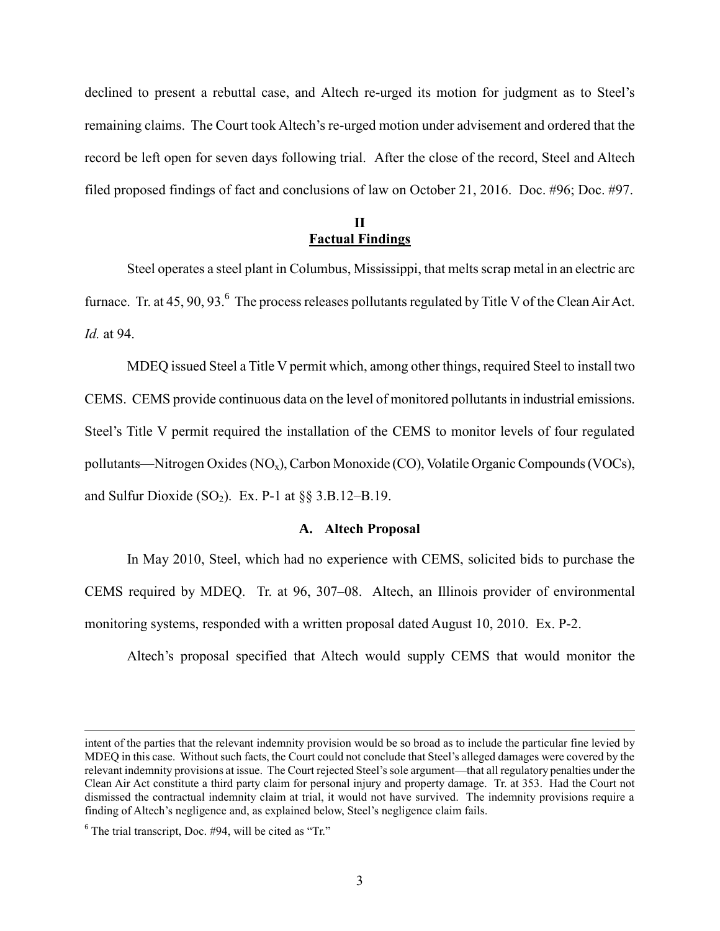declined to present a rebuttal case, and Altech re-urged its motion for judgment as to Steel's remaining claims. The Court took Altech's re-urged motion under advisement and ordered that the record be left open for seven days following trial. After the close of the record, Steel and Altech filed proposed findings of fact and conclusions of law on October 21, 2016. Doc. #96; Doc. #97.

## **II Factual Findings**

Steel operates a steel plant in Columbus, Mississippi, that melts scrap metal in an electric arc furnace. Tr. at 45, 90, 93. $^6$  The process releases pollutants regulated by Title V of the Clean Air Act. *Id.* at 94.

MDEQ issued Steel a Title V permit which, among other things, required Steel to install two CEMS. CEMS provide continuous data on the level of monitored pollutants in industrial emissions. Steel's Title V permit required the installation of the CEMS to monitor levels of four regulated pollutants—Nitrogen Oxides (NOx), Carbon Monoxide (CO), Volatile Organic Compounds (VOCs), and Sulfur Dioxide  $(SO_2)$ . Ex. P-1 at  $\S$ § 3.B.12–B.19.

### **A. Altech Proposal**

In May 2010, Steel, which had no experience with CEMS, solicited bids to purchase the CEMS required by MDEQ. Tr. at 96, 307–08. Altech, an Illinois provider of environmental monitoring systems, responded with a written proposal dated August 10, 2010. Ex. P-2.

Altech's proposal specified that Altech would supply CEMS that would monitor the

intent of the parties that the relevant indemnity provision would be so broad as to include the particular fine levied by MDEQ in this case. Without such facts, the Court could not conclude that Steel's alleged damages were covered by the relevant indemnity provisions at issue. The Court rejected Steel's sole argument—that all regulatory penalties under the Clean Air Act constitute a third party claim for personal injury and property damage. Tr. at 353. Had the Court not dismissed the contractual indemnity claim at trial, it would not have survived. The indemnity provisions require a finding of Altech's negligence and, as explained below, Steel's negligence claim fails.

 $6$  The trial transcript, Doc. #94, will be cited as "Tr."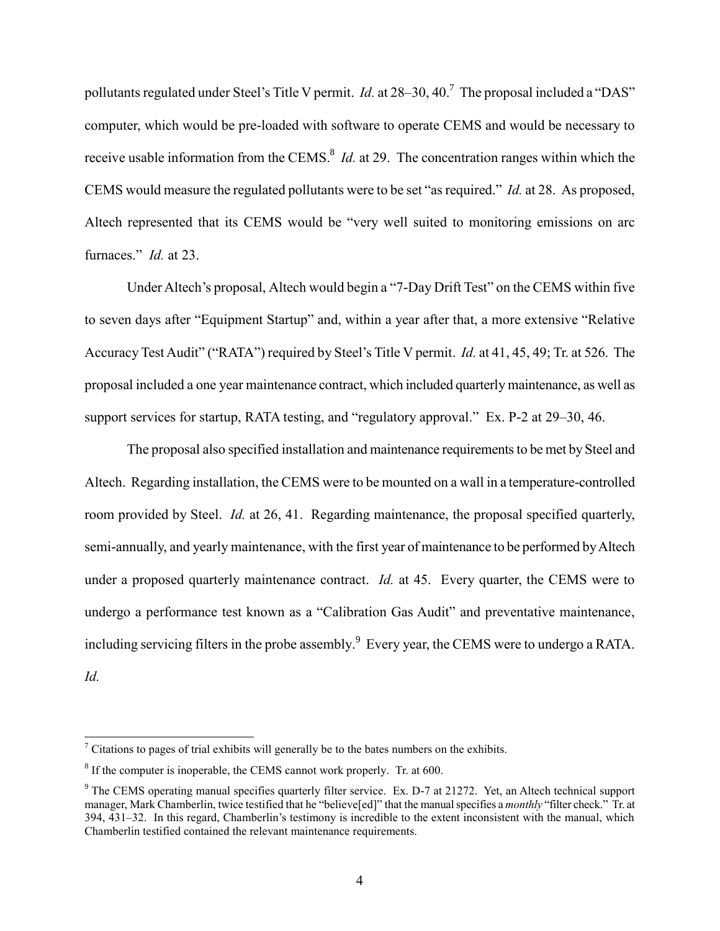pollutants regulated under Steel's Title V permit. *Id.* at 28–30, 40.<sup>7</sup> The proposal included a "DAS" computer, which would be pre-loaded with software to operate CEMS and would be necessary to receive usable information from the CEMS.<sup>8</sup> *Id.* at 29. The concentration ranges within which the CEMS would measure the regulated pollutants were to be set "as required." *Id.* at 28. As proposed, Altech represented that its CEMS would be "very well suited to monitoring emissions on arc furnaces." *Id.* at 23.

Under Altech's proposal, Altech would begin a "7-Day Drift Test" on the CEMS within five to seven days after "Equipment Startup" and, within a year after that, a more extensive "Relative Accuracy Test Audit" ("RATA") required by Steel's Title V permit. *Id.* at 41, 45, 49; Tr. at 526. The proposal included a one year maintenance contract, which included quarterly maintenance, as well as support services for startup, RATA testing, and "regulatory approval." Ex. P-2 at 29–30, 46.

The proposal also specified installation and maintenance requirements to be met by Steel and Altech. Regarding installation, the CEMS were to be mounted on a wall in a temperature-controlled room provided by Steel. *Id.* at 26, 41. Regarding maintenance, the proposal specified quarterly, semi-annually, and yearly maintenance, with the first year of maintenance to be performed by Altech under a proposed quarterly maintenance contract. *Id.* at 45. Every quarter, the CEMS were to undergo a performance test known as a "Calibration Gas Audit" and preventative maintenance, including servicing filters in the probe assembly.<sup>9</sup> Every year, the CEMS were to undergo a RATA. *Id.*

 $<sup>7</sup>$  Citations to pages of trial exhibits will generally be to the bates numbers on the exhibits.</sup>

 $8$  If the computer is inoperable, the CEMS cannot work properly. Tr. at 600.

<sup>&</sup>lt;sup>9</sup> The CEMS operating manual specifies quarterly filter service. Ex. D-7 at 21272. Yet, an Altech technical support manager, Mark Chamberlin, twice testified that he "believe[ed]" that the manual specifies a *monthly* "filter check." Tr. at 394, 431–32. In this regard, Chamberlin's testimony is incredible to the extent inconsistent with the manual, which Chamberlin testified contained the relevant maintenance requirements.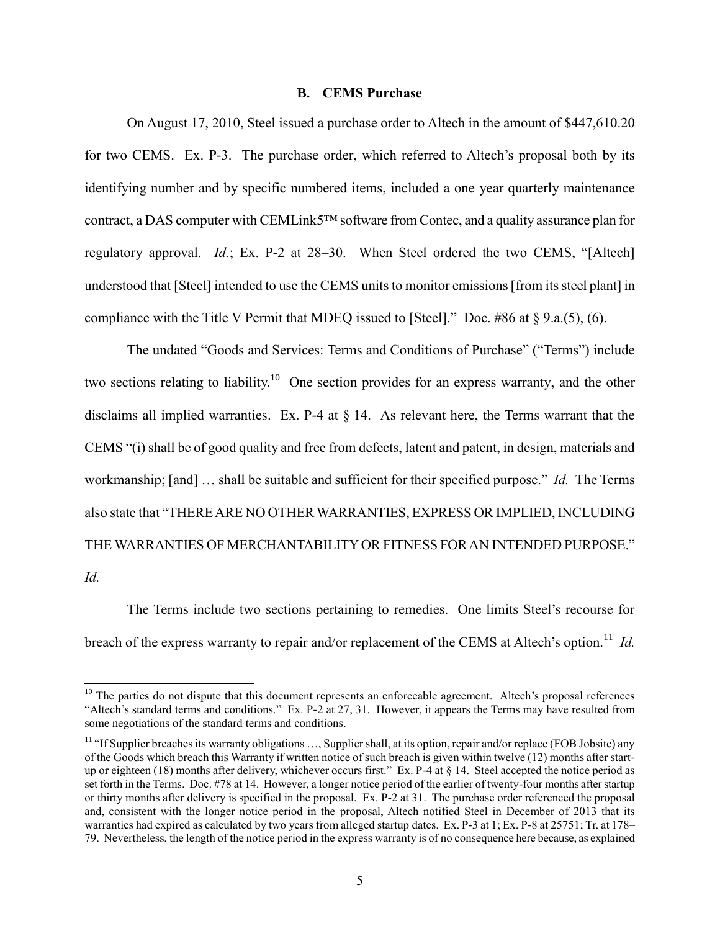## **B. CEMS Purchase**

On August 17, 2010, Steel issued a purchase order to Altech in the amount of \$447,610.20 for two CEMS. Ex. P-3. The purchase order, which referred to Altech's proposal both by its identifying number and by specific numbered items, included a one year quarterly maintenance contract, a DAS computer with CEMLink5™ software from Contec, and a quality assurance plan for regulatory approval. *Id.*; Ex. P-2 at 28–30. When Steel ordered the two CEMS, "[Altech] understood that [Steel] intended to use the CEMS units to monitor emissions [from its steel plant] in compliance with the Title V Permit that MDEQ issued to [Steel]." Doc. #86 at  $\S$  9.a.(5), (6).

The undated "Goods and Services: Terms and Conditions of Purchase" ("Terms") include two sections relating to liability.<sup>10</sup> One section provides for an express warranty, and the other disclaims all implied warranties. Ex. P-4 at § 14. As relevant here, the Terms warrant that the CEMS "(i) shall be of good quality and free from defects, latent and patent, in design, materials and workmanship; [and] … shall be suitable and sufficient for their specified purpose." *Id.* The Terms also state that "THERE ARE NO OTHER WARRANTIES, EXPRESS OR IMPLIED, INCLUDING THE WARRANTIES OF MERCHANTABILITY OR FITNESS FOR AN INTENDED PURPOSE." *Id.*

The Terms include two sections pertaining to remedies. One limits Steel's recourse for breach of the express warranty to repair and/or replacement of the CEMS at Altech's option.<sup>11</sup> *Id.* 

 $10$  The parties do not dispute that this document represents an enforceable agreement. Altech's proposal references "Altech's standard terms and conditions." Ex. P-2 at 27, 31. However, it appears the Terms may have resulted from some negotiations of the standard terms and conditions.

 $11$  "If Supplier breaches its warranty obligations ..., Supplier shall, at its option, repair and/or replace (FOB Jobsite) any of the Goods which breach this Warranty if written notice of such breach is given within twelve (12) months after startup or eighteen (18) months after delivery, whichever occurs first." Ex. P-4 at § 14. Steel accepted the notice period as set forth in the Terms. Doc. #78 at 14. However, a longer notice period of the earlier of twenty-four months after startup or thirty months after delivery is specified in the proposal. Ex. P-2 at 31. The purchase order referenced the proposal and, consistent with the longer notice period in the proposal, Altech notified Steel in December of 2013 that its warranties had expired as calculated by two years from alleged startup dates. Ex. P-3 at 1; Ex. P-8 at 25751; Tr. at 178– 79. Nevertheless, the length of the notice period in the express warranty is of no consequence here because, as explained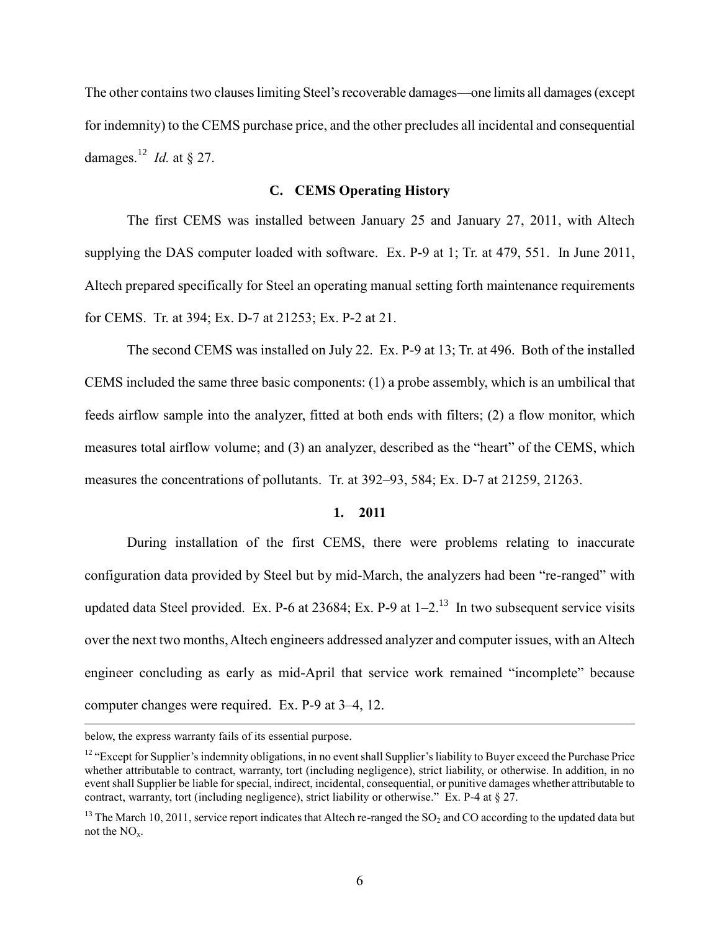The other contains two clauses limiting Steel's recoverable damages—one limits all damages (except for indemnity) to the CEMS purchase price, and the other precludes all incidental and consequential damages.<sup>12</sup> *Id.* at § 27.

### **C. CEMS Operating History**

The first CEMS was installed between January 25 and January 27, 2011, with Altech supplying the DAS computer loaded with software. Ex. P-9 at 1; Tr. at 479, 551. In June 2011, Altech prepared specifically for Steel an operating manual setting forth maintenance requirements for CEMS. Tr. at 394; Ex. D-7 at 21253; Ex. P-2 at 21.

The second CEMS was installed on July 22. Ex. P-9 at 13; Tr. at 496. Both of the installed CEMS included the same three basic components: (1) a probe assembly, which is an umbilical that feeds airflow sample into the analyzer, fitted at both ends with filters; (2) a flow monitor, which measures total airflow volume; and (3) an analyzer, described as the "heart" of the CEMS, which measures the concentrations of pollutants. Tr. at 392–93, 584; Ex. D-7 at 21259, 21263.

## **1. 2011**

During installation of the first CEMS, there were problems relating to inaccurate configuration data provided by Steel but by mid-March, the analyzers had been "re-ranged" with updated data Steel provided. Ex. P-6 at 23684; Ex. P-9 at  $1-2<sup>13</sup>$  In two subsequent service visits over the next two months, Altech engineers addressed analyzer and computer issues, with an Altech engineer concluding as early as mid-April that service work remained "incomplete" because computer changes were required. Ex. P-9 at 3–4, 12.

below, the express warranty fails of its essential purpose.

<sup>&</sup>lt;sup>12</sup> "Except for Supplier's indemnity obligations, in no event shall Supplier's liability to Buyer exceed the Purchase Price whether attributable to contract, warranty, tort (including negligence), strict liability, or otherwise. In addition, in no event shall Supplier be liable for special, indirect, incidental, consequential, or punitive damages whether attributable to contract, warranty, tort (including negligence), strict liability or otherwise." Ex. P-4 at  $\S 27$ .

<sup>&</sup>lt;sup>13</sup> The March 10, 2011, service report indicates that Altech re-ranged the SO<sub>2</sub> and CO according to the updated data but not the  $NO<sub>x</sub>$ .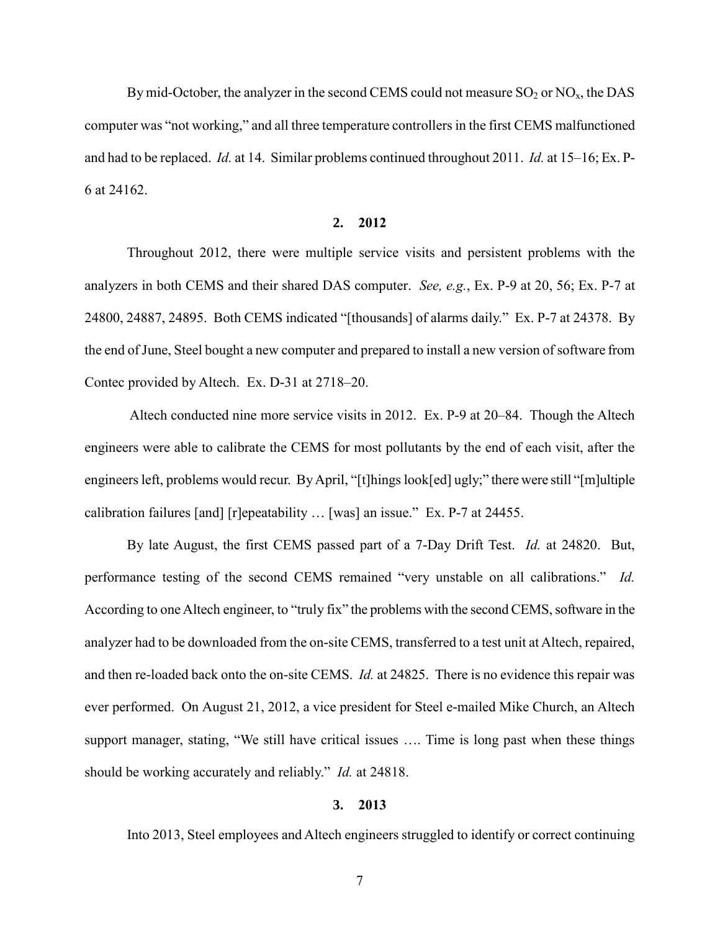By mid-October, the analyzer in the second CEMS could not measure  $SO_2$  or  $NO_x$ , the DAS computer was "not working," and all three temperature controllers in the first CEMS malfunctioned and had to be replaced. *Id.* at 14. Similar problems continued throughout 2011. *Id.* at 15–16; Ex. P-6 at 24162.

## **2. 2012**

Throughout 2012, there were multiple service visits and persistent problems with the analyzers in both CEMS and their shared DAS computer. *See, e.g.*, Ex. P-9 at 20, 56; Ex. P-7 at 24800, 24887, 24895. Both CEMS indicated "[thousands] of alarms daily." Ex. P-7 at 24378. By the end of June, Steel bought a new computer and prepared to install a new version of software from Contec provided by Altech. Ex. D-31 at 2718–20.

 Altech conducted nine more service visits in 2012. Ex. P-9 at 20–84. Though the Altech engineers were able to calibrate the CEMS for most pollutants by the end of each visit, after the engineers left, problems would recur. By April, "[t]hings look[ed] ugly;" there were still "[m]ultiple calibration failures [and] [r]epeatability … [was] an issue." Ex. P-7 at 24455.

By late August, the first CEMS passed part of a 7-Day Drift Test. *Id.* at 24820. But, performance testing of the second CEMS remained "very unstable on all calibrations." *Id.*  According to one Altech engineer, to "truly fix" the problems with the second CEMS, software in the analyzer had to be downloaded from the on-site CEMS, transferred to a test unit at Altech, repaired, and then re-loaded back onto the on-site CEMS. *Id.* at 24825. There is no evidence this repair was ever performed. On August 21, 2012, a vice president for Steel e-mailed Mike Church, an Altech support manager, stating, "We still have critical issues …. Time is long past when these things should be working accurately and reliably." *Id.* at 24818.

#### **3. 2013**

Into 2013, Steel employees and Altech engineers struggled to identify or correct continuing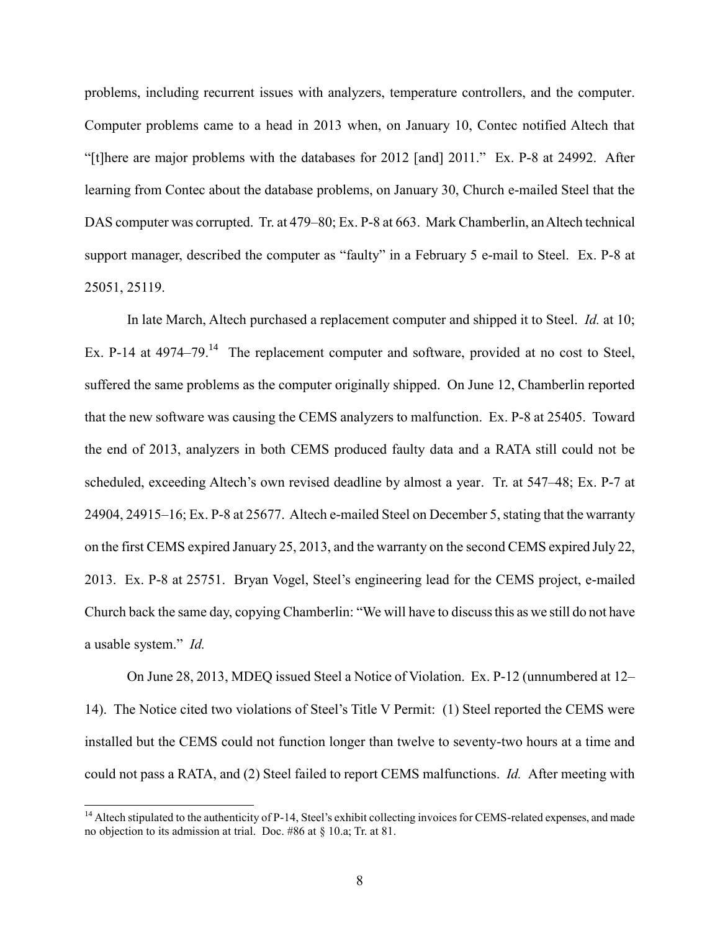problems, including recurrent issues with analyzers, temperature controllers, and the computer. Computer problems came to a head in 2013 when, on January 10, Contec notified Altech that "[t]here are major problems with the databases for 2012 [and] 2011." Ex. P-8 at 24992. After learning from Contec about the database problems, on January 30, Church e-mailed Steel that the DAS computer was corrupted. Tr. at 479–80; Ex. P-8 at 663. Mark Chamberlin, an Altech technical support manager, described the computer as "faulty" in a February 5 e-mail to Steel. Ex. P-8 at 25051, 25119.

In late March, Altech purchased a replacement computer and shipped it to Steel. *Id.* at 10; Ex. P-14 at  $4974-79$ .<sup>14</sup> The replacement computer and software, provided at no cost to Steel, suffered the same problems as the computer originally shipped. On June 12, Chamberlin reported that the new software was causing the CEMS analyzers to malfunction. Ex. P-8 at 25405. Toward the end of 2013, analyzers in both CEMS produced faulty data and a RATA still could not be scheduled, exceeding Altech's own revised deadline by almost a year. Tr. at 547–48; Ex. P-7 at 24904, 24915–16; Ex. P-8 at 25677. Altech e-mailed Steel on December 5, stating that the warranty on the first CEMS expired January 25, 2013, and the warranty on the second CEMS expired July 22, 2013. Ex. P-8 at 25751. Bryan Vogel, Steel's engineering lead for the CEMS project, e-mailed Church back the same day, copying Chamberlin: "We will have to discuss this as we still do not have a usable system." *Id.*

On June 28, 2013, MDEQ issued Steel a Notice of Violation. Ex. P-12 (unnumbered at 12– 14). The Notice cited two violations of Steel's Title V Permit: (1) Steel reported the CEMS were installed but the CEMS could not function longer than twelve to seventy-two hours at a time and could not pass a RATA, and (2) Steel failed to report CEMS malfunctions. *Id.* After meeting with

 $<sup>14</sup>$  Altech stipulated to the authenticity of P-14, Steel's exhibit collecting invoices for CEMS-related expenses, and made</sup> no objection to its admission at trial. Doc. #86 at § 10.a; Tr. at 81.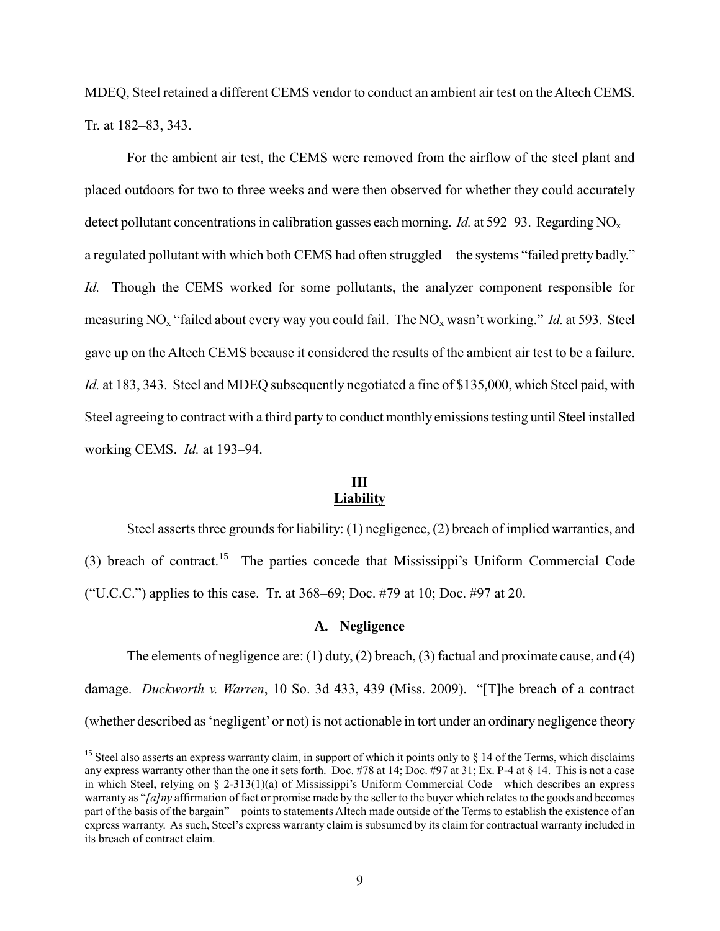MDEQ, Steel retained a different CEMS vendor to conduct an ambient air test on the Altech CEMS. Tr. at 182–83, 343.

For the ambient air test, the CEMS were removed from the airflow of the steel plant and placed outdoors for two to three weeks and were then observed for whether they could accurately detect pollutant concentrations in calibration gasses each morning. *Id.* at 592–93. Regarding  $NO<sub>x</sub>$  a regulated pollutant with which both CEMS had often struggled—the systems "failed pretty badly." *Id.* Though the CEMS worked for some pollutants, the analyzer component responsible for measuring NOx "failed about every way you could fail. The NOx wasn't working." *Id.* at 593. Steel gave up on the Altech CEMS because it considered the results of the ambient air test to be a failure. *Id.* at 183, 343. Steel and MDEQ subsequently negotiated a fine of \$135,000, which Steel paid, with Steel agreeing to contract with a third party to conduct monthly emissions testing until Steel installed working CEMS. *Id.* at 193–94.

## **III Liability**

Steel asserts three grounds for liability: (1) negligence, (2) breach of implied warranties, and (3) breach of contract.<sup>15</sup> The parties concede that Mississippi's Uniform Commercial Code ("U.C.C.") applies to this case. Tr. at  $368-69$ ; Doc. #79 at 10; Doc. #97 at 20.

## **A. Negligence**

The elements of negligence are: (1) duty, (2) breach, (3) factual and proximate cause, and (4) damage. *Duckworth v. Warren*, 10 So. 3d 433, 439 (Miss. 2009). "[T]he breach of a contract (whether described as 'negligent' or not) is not actionable in tort under an ordinary negligence theory

<sup>&</sup>lt;sup>15</sup> Steel also asserts an express warranty claim, in support of which it points only to  $\S$  14 of the Terms, which disclaims any express warranty other than the one it sets forth. Doc.  $\#78$  at 14; Doc.  $\#97$  at 31; Ex. P-4 at § 14. This is not a case in which Steel, relying on § 2-313(1)(a) of Mississippi's Uniform Commercial Code—which describes an express warranty as "*[a]ny* affirmation of fact or promise made by the seller to the buyer which relates to the goods and becomes part of the basis of the bargain"—points to statements Altech made outside of the Terms to establish the existence of an express warranty. As such, Steel's express warranty claim is subsumed by its claim for contractual warranty included in its breach of contract claim.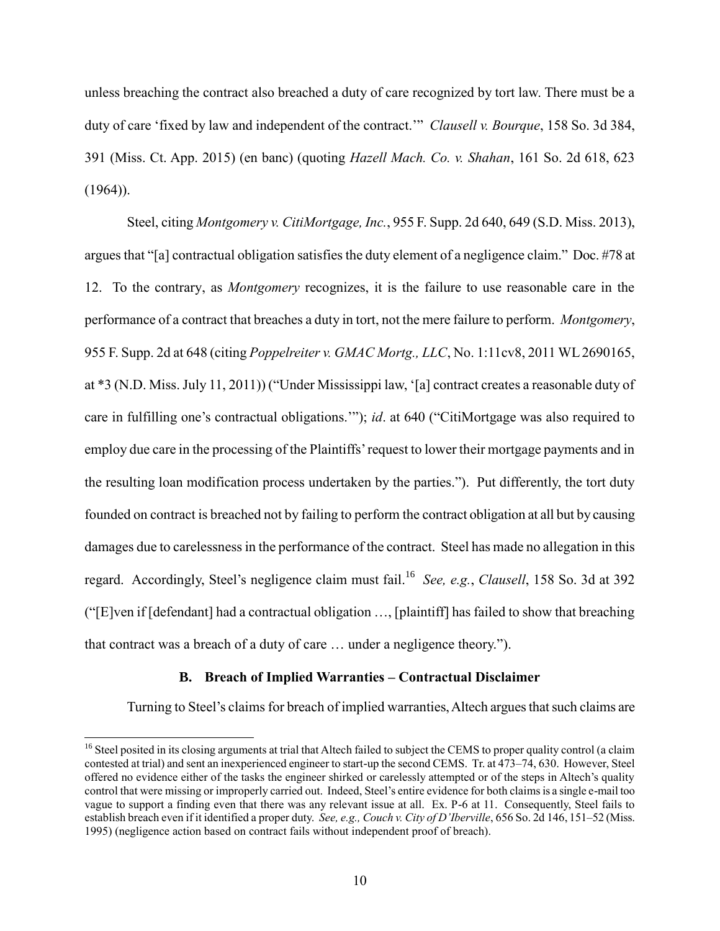unless breaching the contract also breached a duty of care recognized by tort law. There must be a duty of care 'fixed by law and independent of the contract.'" *Clausell v. Bourque*, 158 So. 3d 384, 391 (Miss. Ct. App. 2015) (en banc) (quoting *Hazell Mach. Co. v. Shahan*, 161 So. 2d 618, 623  $(1964)$ ).

Steel, citing *Montgomery v. CitiMortgage, Inc.*, 955 F. Supp. 2d 640, 649 (S.D. Miss. 2013), argues that "[a] contractual obligation satisfies the duty element of a negligence claim." Doc. #78 at 12. To the contrary, as *Montgomery* recognizes, it is the failure to use reasonable care in the performance of a contract that breaches a duty in tort, not the mere failure to perform. *Montgomery*, 955 F. Supp. 2d at 648 (citing *Poppelreiter v. GMAC Mortg., LLC*, No. 1:11cv8, 2011 WL 2690165, at \*3 (N.D. Miss. July 11, 2011)) ("Under Mississippi law, '[a] contract creates a reasonable duty of care in fulfilling one's contractual obligations.'"); *id*. at 640 ("CitiMortgage was also required to employ due care in the processing of the Plaintiffs' request to lower their mortgage payments and in the resulting loan modification process undertaken by the parties."). Put differently, the tort duty founded on contract is breached not by failing to perform the contract obligation at all but by causing damages due to carelessness in the performance of the contract. Steel has made no allegation in this regard. Accordingly, Steel's negligence claim must fail.<sup>16</sup> *See, e.g.*, *Clausell*, 158 So. 3d at 392 ("[E]ven if [defendant] had a contractual obligation …, [plaintiff] has failed to show that breaching that contract was a breach of a duty of care … under a negligence theory.").

## **B. Breach of Implied Warranties – Contractual Disclaimer**

Turning to Steel's claims for breach of implied warranties, Altech argues that such claims are

<sup>&</sup>lt;sup>16</sup> Steel posited in its closing arguments at trial that Altech failed to subject the CEMS to proper quality control (a claim contested at trial) and sent an inexperienced engineer to start-up the second CEMS. Tr. at 473–74, 630. However, Steel offered no evidence either of the tasks the engineer shirked or carelessly attempted or of the steps in Altech's quality control that were missing or improperly carried out. Indeed, Steel's entire evidence for both claims is a single e-mail too vague to support a finding even that there was any relevant issue at all. Ex. P-6 at 11. Consequently, Steel fails to establish breach even if it identified a proper duty. *See, e.g., Couch v. City of D'Iberville*, 656 So. 2d 146, 151–52 (Miss. 1995) (negligence action based on contract fails without independent proof of breach).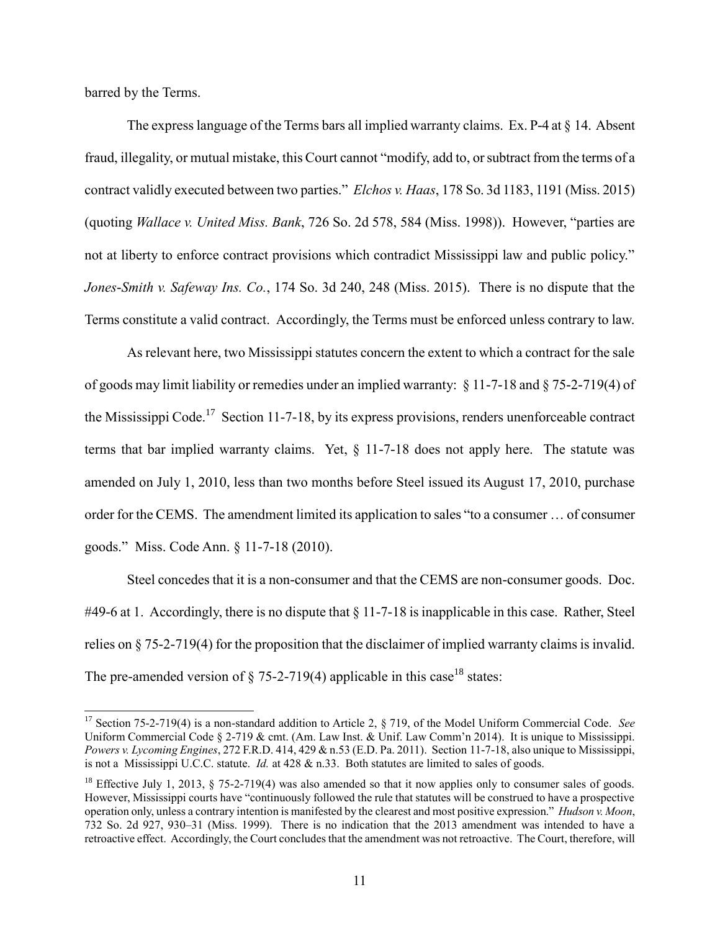barred by the Terms.

 $\overline{a}$ 

The express language of the Terms bars all implied warranty claims. Ex. P-4 at § 14. Absent fraud, illegality, or mutual mistake, this Court cannot "modify, add to, or subtract from the terms of a contract validly executed between two parties." *Elchos v. Haas*, 178 So. 3d 1183, 1191 (Miss. 2015) (quoting *Wallace v. United Miss. Bank*, 726 So. 2d 578, 584 (Miss. 1998)). However, "parties are not at liberty to enforce contract provisions which contradict Mississippi law and public policy." *Jones*-*Smith v. Safeway Ins. Co.*, 174 So. 3d 240, 248 (Miss. 2015). There is no dispute that the Terms constitute a valid contract. Accordingly, the Terms must be enforced unless contrary to law.

As relevant here, two Mississippi statutes concern the extent to which a contract for the sale of goods may limit liability or remedies under an implied warranty: § 11-7-18 and § 75-2-719(4) of the Mississippi Code.<sup>17</sup> Section 11-7-18, by its express provisions, renders unenforceable contract terms that bar implied warranty claims. Yet, § 11-7-18 does not apply here. The statute was amended on July 1, 2010, less than two months before Steel issued its August 17, 2010, purchase order for the CEMS. The amendment limited its application to sales "to a consumer … of consumer goods." Miss. Code Ann. § 11-7-18 (2010).

Steel concedes that it is a non-consumer and that the CEMS are non-consumer goods. Doc. #49-6 at 1. Accordingly, there is no dispute that § 11-7-18 is inapplicable in this case. Rather, Steel relies on § 75-2-719(4) for the proposition that the disclaimer of implied warranty claims is invalid. The pre-amended version of  $\S$  75-2-719(4) applicable in this case<sup>18</sup> states:

<sup>17</sup> Section 75-2-719(4) is a non-standard addition to Article 2, § 719, of the Model Uniform Commercial Code. *See* Uniform Commercial Code § 2-719 & cmt. (Am. Law Inst. & Unif. Law Comm'n 2014). It is unique to Mississippi. *Powers v. Lycoming Engines*, 272 F.R.D. 414, 429 & n.53 (E.D. Pa. 2011). Section 11-7-18, also unique to Mississippi, is not a Mississippi U.C.C. statute. *Id.* at 428 & n.33. Both statutes are limited to sales of goods.

<sup>&</sup>lt;sup>18</sup> Effective July 1, 2013, § 75-2-719(4) was also amended so that it now applies only to consumer sales of goods. However, Mississippi courts have "continuously followed the rule that statutes will be construed to have a prospective operation only, unless a contrary intention is manifested by the clearest and most positive expression." *Hudson v. Moon*, 732 So. 2d 927, 930–31 (Miss. 1999). There is no indication that the 2013 amendment was intended to have a retroactive effect. Accordingly, the Court concludes that the amendment was not retroactive. The Court, therefore, will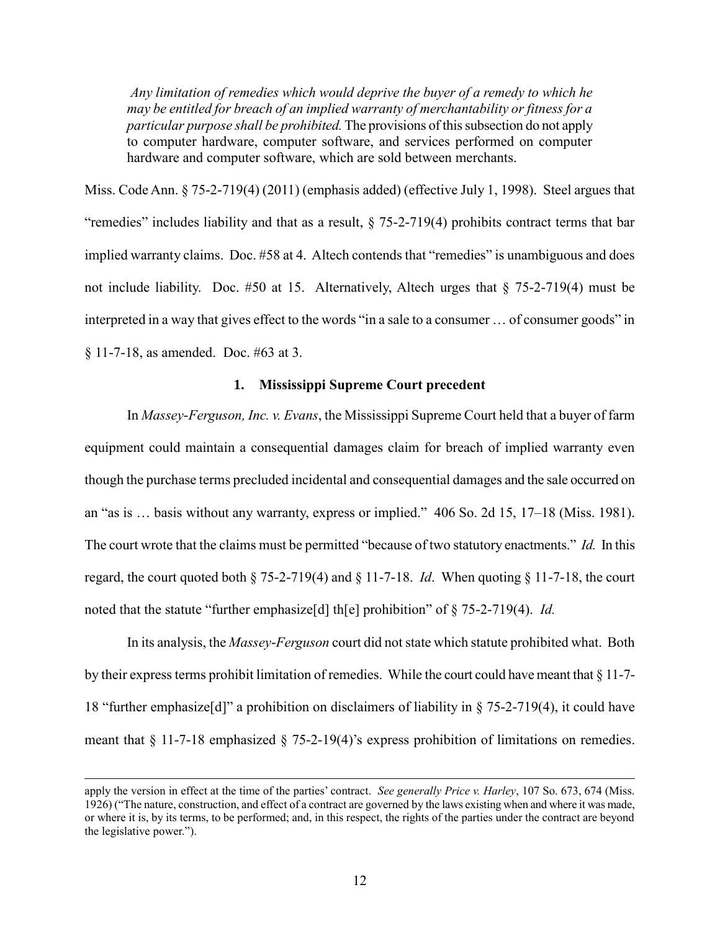*Any limitation of remedies which would deprive the buyer of a remedy to which he may be entitled for breach of an implied warranty of merchantability or fitness for a particular purpose shall be prohibited.* The provisions of this subsection do not apply to computer hardware, computer software, and services performed on computer hardware and computer software, which are sold between merchants.

Miss. Code Ann. § 75-2-719(4) (2011) (emphasis added) (effective July 1, 1998). Steel argues that "remedies" includes liability and that as a result, § 75-2-719(4) prohibits contract terms that bar implied warranty claims. Doc. #58 at 4. Altech contends that "remedies" is unambiguous and does not include liability. Doc. #50 at 15. Alternatively, Altech urges that § 75-2-719(4) must be interpreted in a way that gives effect to the words "in a sale to a consumer … of consumer goods" in § 11-7-18, as amended. Doc. #63 at 3.

## **1. Mississippi Supreme Court precedent**

In *Massey*-*Ferguson, Inc. v. Evans*, the Mississippi Supreme Court held that a buyer of farm equipment could maintain a consequential damages claim for breach of implied warranty even though the purchase terms precluded incidental and consequential damages and the sale occurred on an "as is … basis without any warranty, express or implied." 406 So. 2d 15, 17–18 (Miss. 1981). The court wrote that the claims must be permitted "because of two statutory enactments." *Id.* In this regard, the court quoted both § 75-2-719(4) and § 11-7-18. *Id*. When quoting § 11-7-18, the court noted that the statute "further emphasize[d] th[e] prohibition" of § 75-2-719(4). *Id.*

In its analysis, the *Massey*-*Ferguson* court did not state which statute prohibited what. Both by their express terms prohibit limitation of remedies. While the court could have meant that § 11-7- 18 "further emphasize[d]" a prohibition on disclaimers of liability in § 75-2-719(4), it could have meant that § 11-7-18 emphasized § 75-2-19(4)'s express prohibition of limitations on remedies.

apply the version in effect at the time of the parties' contract. *See generally Price v. Harley*, 107 So. 673, 674 (Miss. 1926) ("The nature, construction, and effect of a contract are governed by the laws existing when and where it was made, or where it is, by its terms, to be performed; and, in this respect, the rights of the parties under the contract are beyond the legislative power.").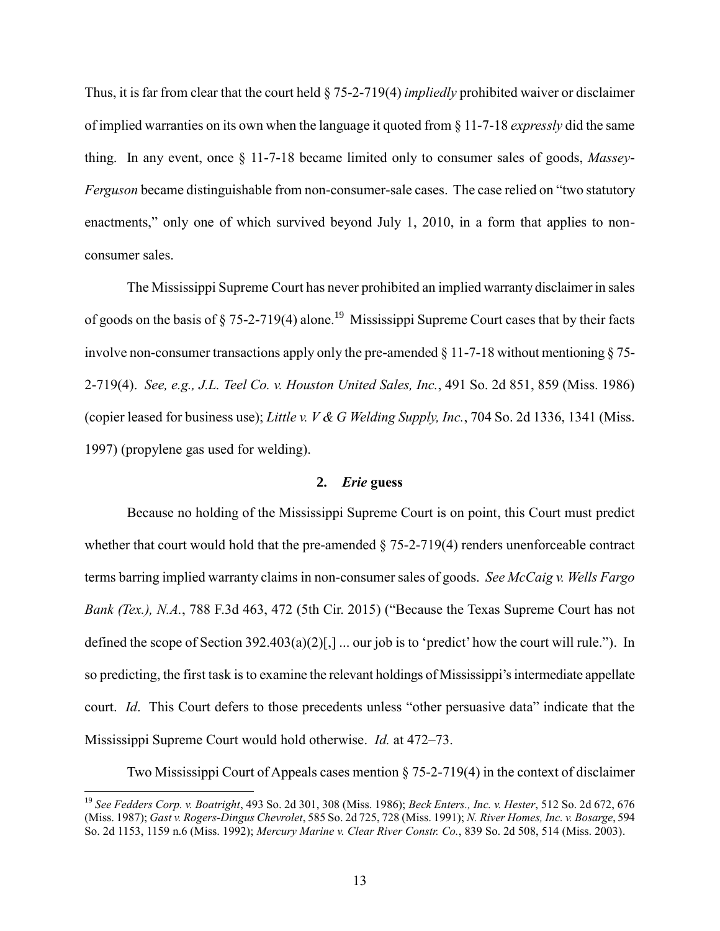Thus, it is far from clear that the court held § 75-2-719(4) *impliedly* prohibited waiver or disclaimer of implied warranties on its own when the language it quoted from § 11-7-18 *expressly* did the same thing. In any event, once § 11-7-18 became limited only to consumer sales of goods, *Massey*-*Ferguson* became distinguishable from non-consumer-sale cases. The case relied on "two statutory enactments," only one of which survived beyond July 1, 2010, in a form that applies to nonconsumer sales.

The Mississippi Supreme Court has never prohibited an implied warranty disclaimer in sales of goods on the basis of  $\S 75-2-719(4)$  alone.<sup>19</sup> Mississippi Supreme Court cases that by their facts involve non-consumer transactions apply only the pre-amended § 11-7-18 without mentioning § 75- 2-719(4). *See, e.g., J.L. Teel Co. v. Houston United Sales, Inc.*, 491 So. 2d 851, 859 (Miss. 1986) (copier leased for business use); *Little v. V & G Welding Supply, Inc.*, 704 So. 2d 1336, 1341 (Miss. 1997) (propylene gas used for welding).

### **2.** *Erie* **guess**

Because no holding of the Mississippi Supreme Court is on point, this Court must predict whether that court would hold that the pre-amended  $\S$  75-2-719(4) renders unenforceable contract terms barring implied warranty claims in non-consumer sales of goods. *See McCaig v. Wells Fargo Bank (Tex.), N.A.*, 788 F.3d 463, 472 (5th Cir. 2015) ("Because the Texas Supreme Court has not defined the scope of Section 392.403(a)(2)[,] ... our job is to 'predict' how the court will rule."). In so predicting, the first task is to examine the relevant holdings of Mississippi's intermediate appellate court. *Id*. This Court defers to those precedents unless "other persuasive data" indicate that the Mississippi Supreme Court would hold otherwise. *Id.* at 472–73.

Two Mississippi Court of Appeals cases mention § 75-2-719(4) in the context of disclaimer

<sup>19</sup> *See Fedders Corp. v. Boatright*, 493 So. 2d 301, 308 (Miss. 1986); *Beck Enters., Inc. v. Hester*, 512 So. 2d 672, 676 (Miss. 1987); *Gast v. Rogers*-*Dingus Chevrolet*, 585 So. 2d 725, 728 (Miss. 1991); *N. River Homes, Inc. v. Bosarge*, 594 So. 2d 1153, 1159 n.6 (Miss. 1992); *Mercury Marine v. Clear River Constr. Co.*, 839 So. 2d 508, 514 (Miss. 2003).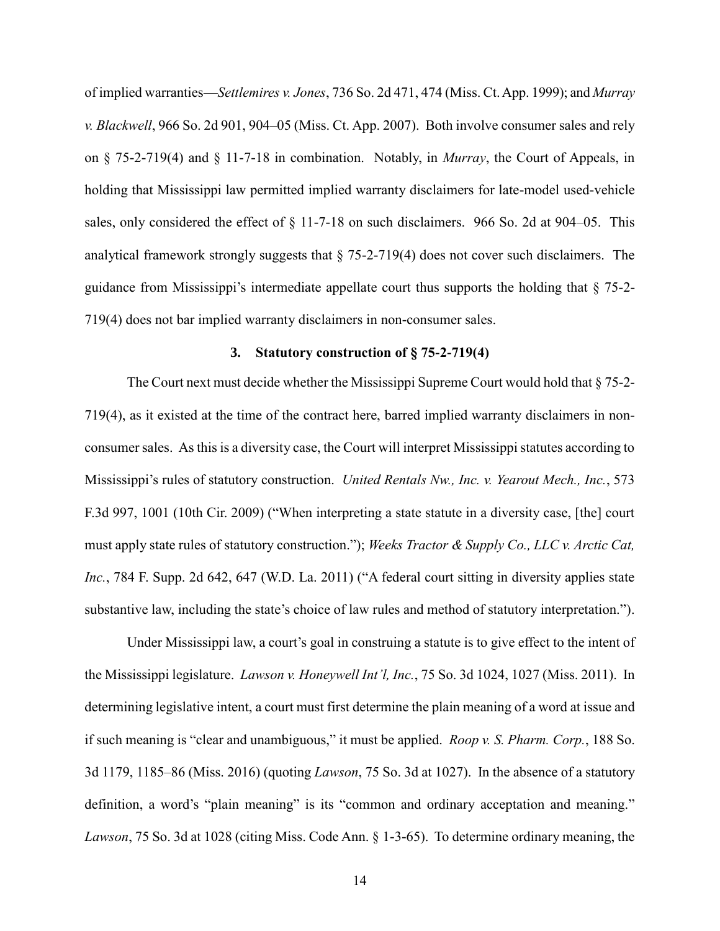of implied warranties—*Settlemires v. Jones*, 736 So. 2d 471, 474 (Miss. Ct. App. 1999); and *Murray v. Blackwell*, 966 So. 2d 901, 904–05 (Miss. Ct. App. 2007). Both involve consumer sales and rely on § 75-2-719(4) and § 11-7-18 in combination. Notably, in *Murray*, the Court of Appeals, in holding that Mississippi law permitted implied warranty disclaimers for late-model used-vehicle sales, only considered the effect of  $\S$  11-7-18 on such disclaimers. 966 So. 2d at 904–05. This analytical framework strongly suggests that § 75-2-719(4) does not cover such disclaimers. The guidance from Mississippi's intermediate appellate court thus supports the holding that  $\S$  75-2-719(4) does not bar implied warranty disclaimers in non-consumer sales.

#### **3. Statutory construction of § 75-2-719(4)**

The Court next must decide whether the Mississippi Supreme Court would hold that § 75-2- 719(4), as it existed at the time of the contract here, barred implied warranty disclaimers in nonconsumer sales. As this is a diversity case, the Court will interpret Mississippi statutes according to Mississippi's rules of statutory construction. *United Rentals Nw., Inc. v. Yearout Mech., Inc.*, 573 F.3d 997, 1001 (10th Cir. 2009) ("When interpreting a state statute in a diversity case, [the] court must apply state rules of statutory construction."); *Weeks Tractor & Supply Co., LLC v. Arctic Cat, Inc.*, 784 F. Supp. 2d 642, 647 (W.D. La. 2011) ("A federal court sitting in diversity applies state substantive law, including the state's choice of law rules and method of statutory interpretation.").

Under Mississippi law, a court's goal in construing a statute is to give effect to the intent of the Mississippi legislature. *Lawson v. Honeywell Int'l, Inc.*, 75 So. 3d 1024, 1027 (Miss. 2011). In determining legislative intent, a court must first determine the plain meaning of a word at issue and if such meaning is "clear and unambiguous," it must be applied. *Roop v. S. Pharm. Corp.*, 188 So. 3d 1179, 1185–86 (Miss. 2016) (quoting *Lawson*, 75 So. 3d at 1027). In the absence of a statutory definition, a word's "plain meaning" is its "common and ordinary acceptation and meaning." *Lawson*, 75 So. 3d at 1028 (citing Miss. Code Ann. § 1-3-65). To determine ordinary meaning, the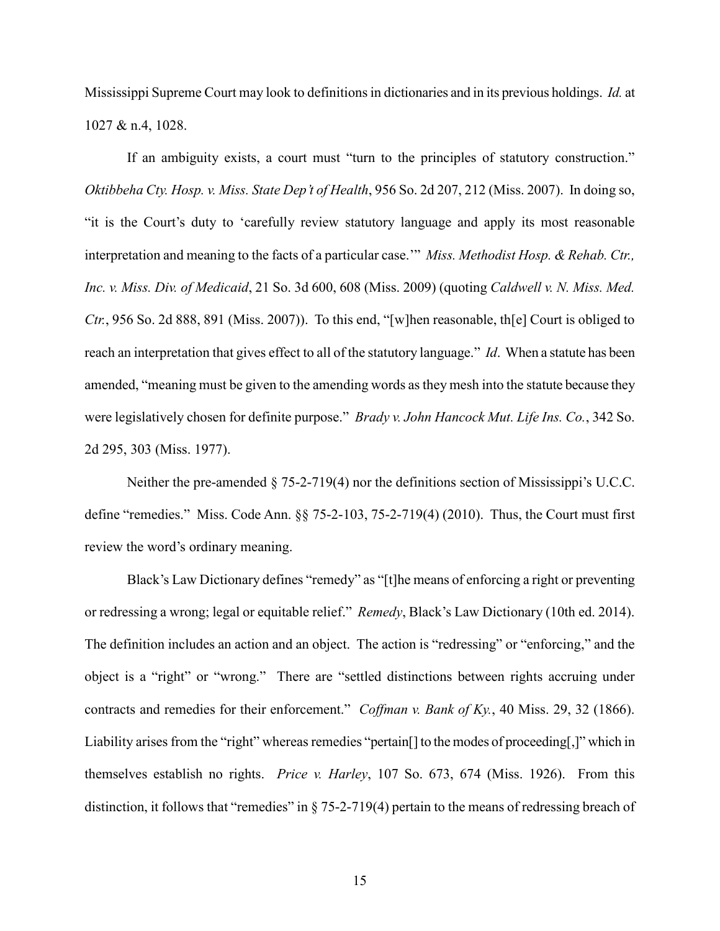Mississippi Supreme Court may look to definitions in dictionaries and in its previous holdings. *Id.* at 1027 & n.4, 1028.

If an ambiguity exists, a court must "turn to the principles of statutory construction." *Oktibbeha Cty. Hosp. v. Miss. State Dep't of Health*, 956 So. 2d 207, 212 (Miss. 2007). In doing so, "it is the Court's duty to 'carefully review statutory language and apply its most reasonable interpretation and meaning to the facts of a particular case.'" *Miss. Methodist Hosp. & Rehab. Ctr., Inc. v. Miss. Div. of Medicaid*, 21 So. 3d 600, 608 (Miss. 2009) (quoting *Caldwell v. N. Miss. Med. Ctr.*, 956 So. 2d 888, 891 (Miss. 2007)). To this end, "[w]hen reasonable, th[e] Court is obliged to reach an interpretation that gives effect to all of the statutory language." *Id*. When a statute has been amended, "meaning must be given to the amending words as they mesh into the statute because they were legislatively chosen for definite purpose." *Brady v. John Hancock Mut. Life Ins. Co.*, 342 So. 2d 295, 303 (Miss. 1977).

Neither the pre-amended § 75-2-719(4) nor the definitions section of Mississippi's U.C.C. define "remedies." Miss. Code Ann. §§ 75-2-103, 75-2-719(4) (2010). Thus, the Court must first review the word's ordinary meaning.

Black's Law Dictionary defines "remedy" as "[t]he means of enforcing a right or preventing or redressing a wrong; legal or equitable relief." *Remedy*, Black's Law Dictionary (10th ed. 2014). The definition includes an action and an object. The action is "redressing" or "enforcing," and the object is a "right" or "wrong." There are "settled distinctions between rights accruing under contracts and remedies for their enforcement." *Coffman v. Bank of Ky.*, 40 Miss. 29, 32 (1866). Liability arises from the "right" whereas remedies "pertain[] to the modes of proceeding[,]" which in themselves establish no rights. *Price v. Harley*, 107 So. 673, 674 (Miss. 1926). From this distinction, it follows that "remedies" in § 75-2-719(4) pertain to the means of redressing breach of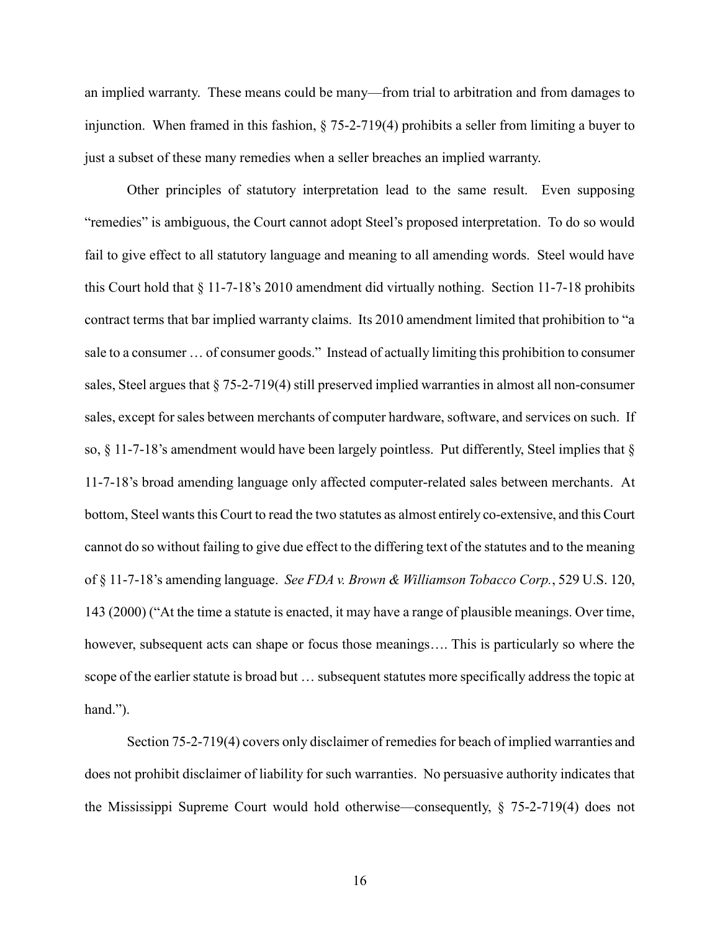an implied warranty. These means could be many—from trial to arbitration and from damages to injunction. When framed in this fashion, § 75-2-719(4) prohibits a seller from limiting a buyer to just a subset of these many remedies when a seller breaches an implied warranty.

Other principles of statutory interpretation lead to the same result. Even supposing "remedies" is ambiguous, the Court cannot adopt Steel's proposed interpretation. To do so would fail to give effect to all statutory language and meaning to all amending words. Steel would have this Court hold that § 11-7-18's 2010 amendment did virtually nothing. Section 11-7-18 prohibits contract terms that bar implied warranty claims. Its 2010 amendment limited that prohibition to "a sale to a consumer … of consumer goods." Instead of actually limiting this prohibition to consumer sales, Steel argues that § 75-2-719(4) still preserved implied warranties in almost all non-consumer sales, except for sales between merchants of computer hardware, software, and services on such. If so,  $\S$  11-7-18's amendment would have been largely pointless. Put differently, Steel implies that  $\S$ 11-7-18's broad amending language only affected computer-related sales between merchants. At bottom, Steel wants this Court to read the two statutes as almost entirely co-extensive, and this Court cannot do so without failing to give due effect to the differing text of the statutes and to the meaning of § 11-7-18's amending language. *See FDA v. Brown & Williamson Tobacco Corp.*, 529 U.S. 120, 143 (2000) ("At the time a statute is enacted, it may have a range of plausible meanings. Over time, however, subsequent acts can shape or focus those meanings.... This is particularly so where the scope of the earlier statute is broad but … subsequent statutes more specifically address the topic at hand.").

Section 75-2-719(4) covers only disclaimer of remedies for beach of implied warranties and does not prohibit disclaimer of liability for such warranties. No persuasive authority indicates that the Mississippi Supreme Court would hold otherwise—consequently, § 75-2-719(4) does not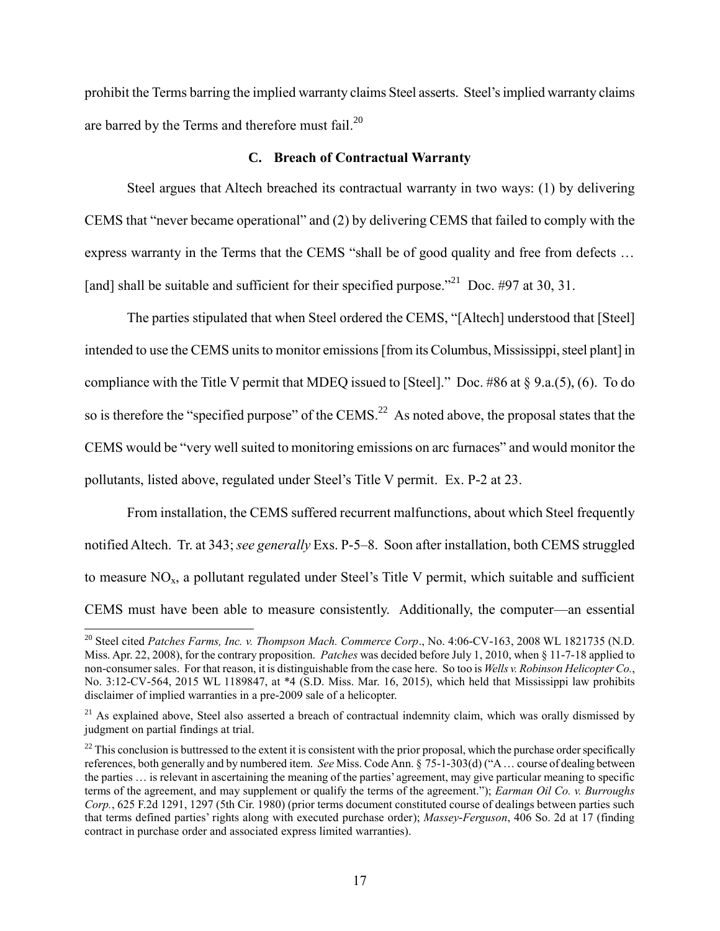prohibit the Terms barring the implied warranty claims Steel asserts. Steel's implied warranty claims are barred by the Terms and therefore must fail.<sup>20</sup>

## **C. Breach of Contractual Warranty**

Steel argues that Altech breached its contractual warranty in two ways: (1) by delivering CEMS that "never became operational" and (2) by delivering CEMS that failed to comply with the express warranty in the Terms that the CEMS "shall be of good quality and free from defects ... [and] shall be suitable and sufficient for their specified purpose."<sup>21</sup> Doc. #97 at 30, 31.

The parties stipulated that when Steel ordered the CEMS, "[Altech] understood that [Steel] intended to use the CEMS units to monitor emissions [from its Columbus, Mississippi, steel plant] in compliance with the Title V permit that MDEQ issued to [Steel]." Doc. #86 at § 9.a.(5), (6). To do so is therefore the "specified purpose" of the CEMS.<sup>22</sup> As noted above, the proposal states that the CEMS would be "very well suited to monitoring emissions on arc furnaces" and would monitor the pollutants, listed above, regulated under Steel's Title V permit. Ex. P-2 at 23.

From installation, the CEMS suffered recurrent malfunctions, about which Steel frequently notified Altech. Tr. at 343; *see generally* Exs. P-5–8. Soon after installation, both CEMS struggled to measure  $NO<sub>x</sub>$ , a pollutant regulated under Steel's Title V permit, which suitable and sufficient CEMS must have been able to measure consistently. Additionally, the computer—an essential

<sup>&</sup>lt;sup>20</sup> Steel cited *Patches Farms, Inc. v. Thompson Mach. Commerce Corp.*, No. 4:06-CV-163, 2008 WL 1821735 (N.D. Miss. Apr. 22, 2008), for the contrary proposition. *Patches* was decided before July 1, 2010, when § 11-7-18 applied to non-consumer sales. For that reason, it is distinguishable from the case here. So too is *Wells v. Robinson Helicopter Co.*, No. 3:12-CV-564, 2015 WL 1189847, at \*4 (S.D. Miss. Mar. 16, 2015), which held that Mississippi law prohibits disclaimer of implied warranties in a pre-2009 sale of a helicopter.

 $21$  As explained above, Steel also asserted a breach of contractual indemnity claim, which was orally dismissed by judgment on partial findings at trial.

 $22$  This conclusion is buttressed to the extent it is consistent with the prior proposal, which the purchase order specifically references, both generally and by numbered item. *See* Miss. Code Ann. § 75-1-303(d) ("A … course of dealing between the parties … is relevant in ascertaining the meaning of the parties' agreement, may give particular meaning to specific terms of the agreement, and may supplement or qualify the terms of the agreement."); *Earman Oil Co. v. Burroughs Corp.*, 625 F.2d 1291, 1297 (5th Cir. 1980) (prior terms document constituted course of dealings between parties such that terms defined parties' rights along with executed purchase order); *Massey*-*Ferguson*, 406 So. 2d at 17 (finding contract in purchase order and associated express limited warranties).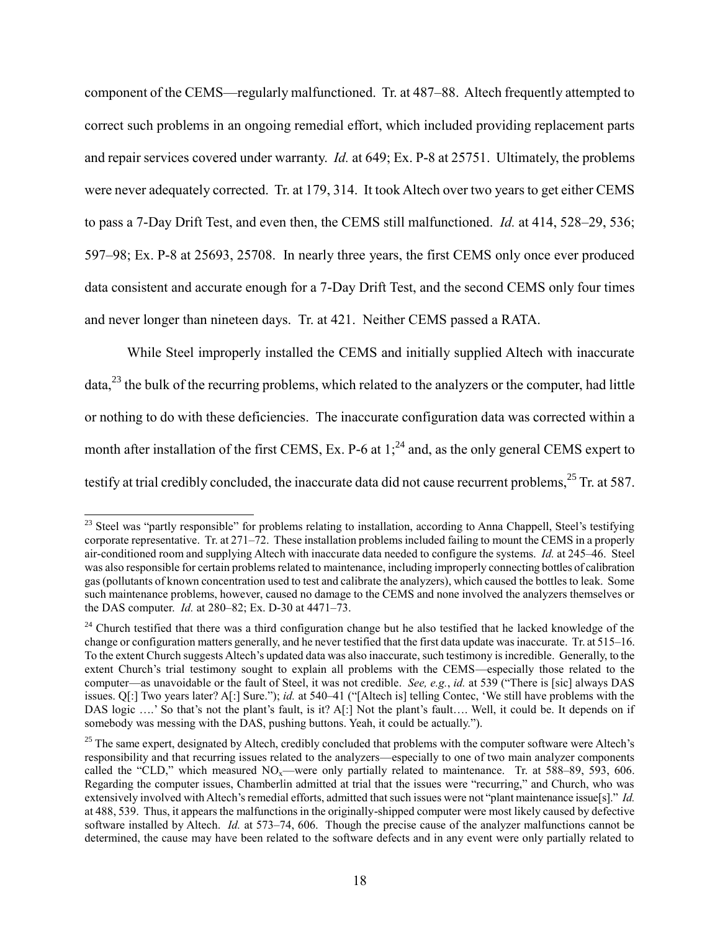component of the CEMS—regularly malfunctioned. Tr. at 487–88. Altech frequently attempted to correct such problems in an ongoing remedial effort, which included providing replacement parts and repair services covered under warranty. *Id.* at 649; Ex. P-8 at 25751. Ultimately, the problems were never adequately corrected. Tr. at 179, 314. It took Altech over two years to get either CEMS to pass a 7-Day Drift Test, and even then, the CEMS still malfunctioned. *Id.* at 414, 528–29, 536; 597–98; Ex. P-8 at 25693, 25708. In nearly three years, the first CEMS only once ever produced data consistent and accurate enough for a 7-Day Drift Test, and the second CEMS only four times and never longer than nineteen days. Tr. at 421. Neither CEMS passed a RATA.

While Steel improperly installed the CEMS and initially supplied Altech with inaccurate data,<sup>23</sup> the bulk of the recurring problems, which related to the analyzers or the computer, had little or nothing to do with these deficiencies. The inaccurate configuration data was corrected within a month after installation of the first CEMS, Ex. P-6 at  $1$ ;<sup>24</sup> and, as the only general CEMS expert to testify at trial credibly concluded, the inaccurate data did not cause recurrent problems,<sup>25</sup> Tr. at 587.

<sup>&</sup>lt;sup>23</sup> Steel was "partly responsible" for problems relating to installation, according to Anna Chappell, Steel's testifying corporate representative. Tr. at 271–72. These installation problems included failing to mount the CEMS in a properly air-conditioned room and supplying Altech with inaccurate data needed to configure the systems. *Id.* at 245–46. Steel was also responsible for certain problems related to maintenance, including improperly connecting bottles of calibration gas (pollutants of known concentration used to test and calibrate the analyzers), which caused the bottles to leak. Some such maintenance problems, however, caused no damage to the CEMS and none involved the analyzers themselves or the DAS computer. *Id.* at 280–82; Ex. D-30 at 4471–73.

<sup>&</sup>lt;sup>24</sup> Church testified that there was a third configuration change but he also testified that he lacked knowledge of the change or configuration matters generally, and he never testified that the first data update was inaccurate. Tr. at 515–16. To the extent Church suggests Altech's updated data was also inaccurate, such testimony is incredible. Generally, to the extent Church's trial testimony sought to explain all problems with the CEMS—especially those related to the computer—as unavoidable or the fault of Steel, it was not credible. *See, e.g.*, *id.* at 539 ("There is [sic] always DAS issues. Q[:] Two years later? A[:] Sure."); *id.* at 540–41 ("[Altech is] telling Contec, 'We still have problems with the DAS logic ....' So that's not the plant's fault, is it? A[:] Not the plant's fault.... Well, it could be. It depends on if somebody was messing with the DAS, pushing buttons. Yeah, it could be actually.").

 $25$  The same expert, designated by Altech, credibly concluded that problems with the computer software were Altech's responsibility and that recurring issues related to the analyzers—especially to one of two main analyzer components called the "CLD," which measured  $NO_x$ —were only partially related to maintenance. Tr. at 588–89, 593, 606. Regarding the computer issues, Chamberlin admitted at trial that the issues were "recurring," and Church, who was extensively involved with Altech's remedial efforts, admitted that such issues were not "plant maintenance issue[s]." *Id.* at 488, 539. Thus, it appears the malfunctions in the originally-shipped computer were most likely caused by defective software installed by Altech. *Id.* at 573–74, 606. Though the precise cause of the analyzer malfunctions cannot be determined, the cause may have been related to the software defects and in any event were only partially related to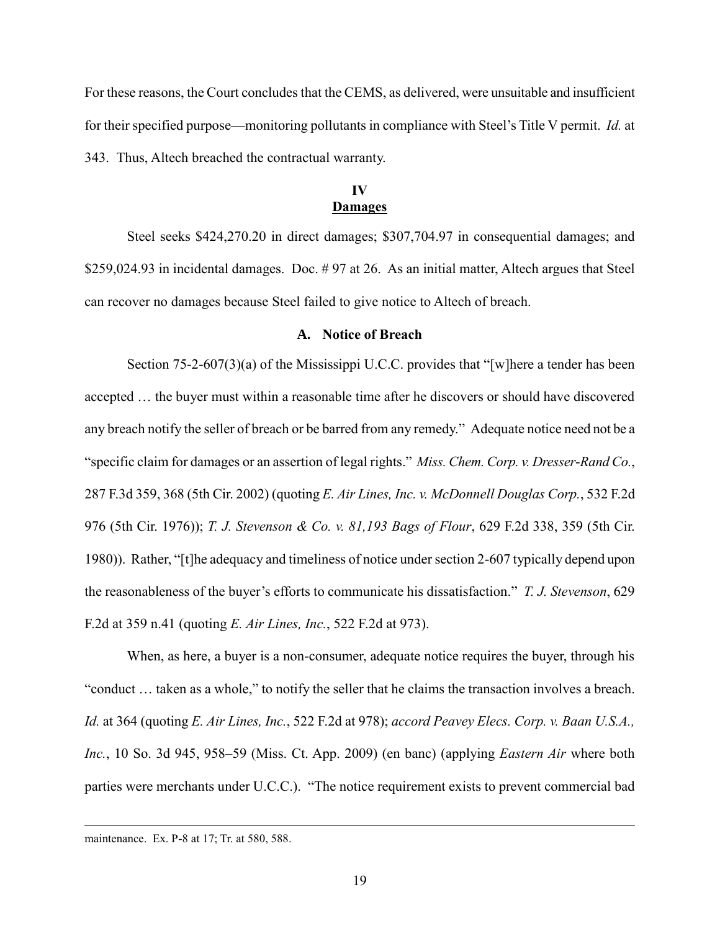For these reasons, the Court concludes that the CEMS, as delivered, were unsuitable and insufficient for their specified purpose—monitoring pollutants in compliance with Steel's Title V permit. *Id.* at 343. Thus, Altech breached the contractual warranty.

## **IV Damages**

Steel seeks \$424,270.20 in direct damages; \$307,704.97 in consequential damages; and \$259,024.93 in incidental damages. Doc. # 97 at 26. As an initial matter, Altech argues that Steel can recover no damages because Steel failed to give notice to Altech of breach.

## **A. Notice of Breach**

Section 75-2-607(3)(a) of the Mississippi U.C.C. provides that "[w]here a tender has been accepted … the buyer must within a reasonable time after he discovers or should have discovered any breach notify the seller of breach or be barred from any remedy." Adequate notice need not be a "specific claim for damages or an assertion of legal rights." *Miss. Chem. Corp. v. Dresser*-*Rand Co.*, 287 F.3d 359, 368 (5th Cir. 2002) (quoting *E. Air Lines, Inc. v. McDonnell Douglas Corp.*, 532 F.2d 976 (5th Cir. 1976)); *T. J. Stevenson & Co. v. 81,193 Bags of Flour*, 629 F.2d 338, 359 (5th Cir. 1980)). Rather, "[t]he adequacy and timeliness of notice under section 2-607 typically depend upon the reasonableness of the buyer's efforts to communicate his dissatisfaction." *T. J. Stevenson*, 629 F.2d at 359 n.41 (quoting *E. Air Lines, Inc.*, 522 F.2d at 973).

When, as here, a buyer is a non-consumer, adequate notice requires the buyer, through his "conduct … taken as a whole," to notify the seller that he claims the transaction involves a breach. *Id.* at 364 (quoting *E. Air Lines, Inc.*, 522 F.2d at 978); *accord Peavey Elecs. Corp. v. Baan U.S.A., Inc.*, 10 So. 3d 945, 958–59 (Miss. Ct. App. 2009) (en banc) (applying *Eastern Air* where both parties were merchants under U.C.C.). "The notice requirement exists to prevent commercial bad

maintenance. Ex. P-8 at 17; Tr. at 580, 588.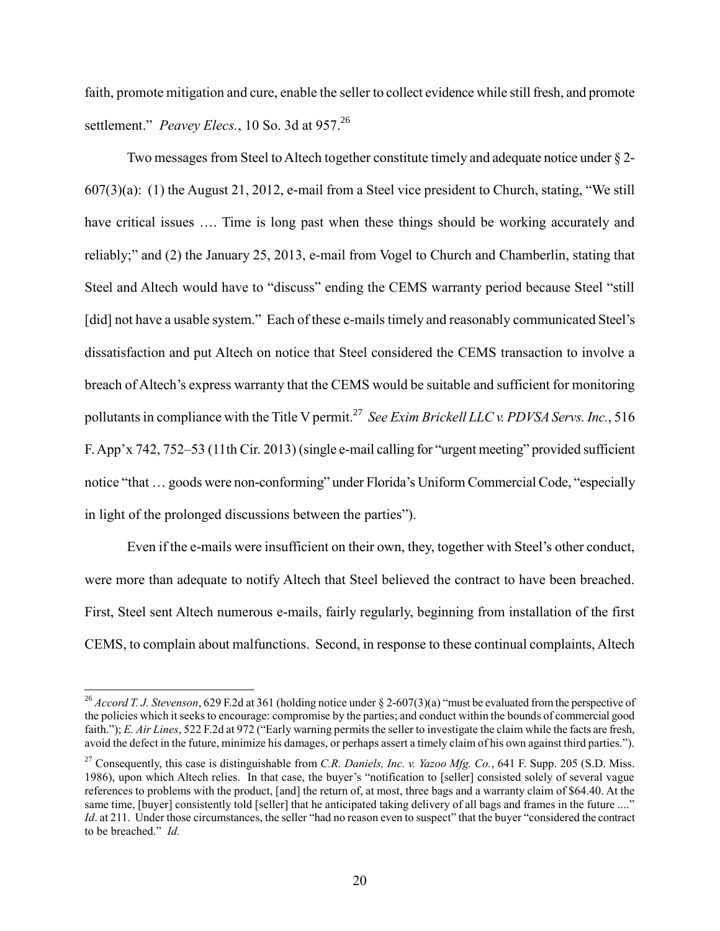faith, promote mitigation and cure, enable the seller to collect evidence while still fresh, and promote settlement." *Peavey Elecs.*, 10 So. 3d at 957.<sup>26</sup>

Two messages from Steel to Altech together constitute timely and adequate notice under § 2- 607(3)(a): (1) the August 21, 2012, e-mail from a Steel vice president to Church, stating, "We still have critical issues .... Time is long past when these things should be working accurately and reliably;" and (2) the January 25, 2013, e-mail from Vogel to Church and Chamberlin, stating that Steel and Altech would have to "discuss" ending the CEMS warranty period because Steel "still [did] not have a usable system." Each of these e-mails timely and reasonably communicated Steel's dissatisfaction and put Altech on notice that Steel considered the CEMS transaction to involve a breach of Altech's express warranty that the CEMS would be suitable and sufficient for monitoring pollutants in compliance with the Title V permit.<sup>27</sup> See Exim Brickell LLC v. PDVSA Servs. Inc., 516 F. App'x 742, 752–53 (11th Cir. 2013) (single e-mail calling for "urgent meeting" provided sufficient notice "that … goods were non-conforming" under Florida's Uniform Commercial Code, "especially in light of the prolonged discussions between the parties").

Even if the e-mails were insufficient on their own, they, together with Steel's other conduct, were more than adequate to notify Altech that Steel believed the contract to have been breached. First, Steel sent Altech numerous e-mails, fairly regularly, beginning from installation of the first CEMS, to complain about malfunctions. Second, in response to these continual complaints, Altech

<sup>26</sup> *Accord T. J. Stevenson*, 629 F.2d at 361 (holding notice under § 2-607(3)(a) "must be evaluated from the perspective of the policies which it seeks to encourage: compromise by the parties; and conduct within the bounds of commercial good faith."); *E. Air Lines*, 522 F.2d at 972 ("Early warning permits the seller to investigate the claim while the facts are fresh, avoid the defect in the future, minimize his damages, or perhaps assert a timely claim of his own against third parties.").

<sup>27</sup> Consequently, this case is distinguishable from *C.R. Daniels, Inc. v. Yazoo Mfg. Co.*, 641 F. Supp. 205 (S.D. Miss. 1986), upon which Altech relies. In that case, the buyer's "notification to [seller] consisted solely of several vague references to problems with the product, [and] the return of, at most, three bags and a warranty claim of \$64.40. At the same time, [buyer] consistently told [seller] that he anticipated taking delivery of all bags and frames in the future ...." *Id.* at 211. Under those circumstances, the seller "had no reason even to suspect" that the buyer "considered the contract" to be breached." *Id.*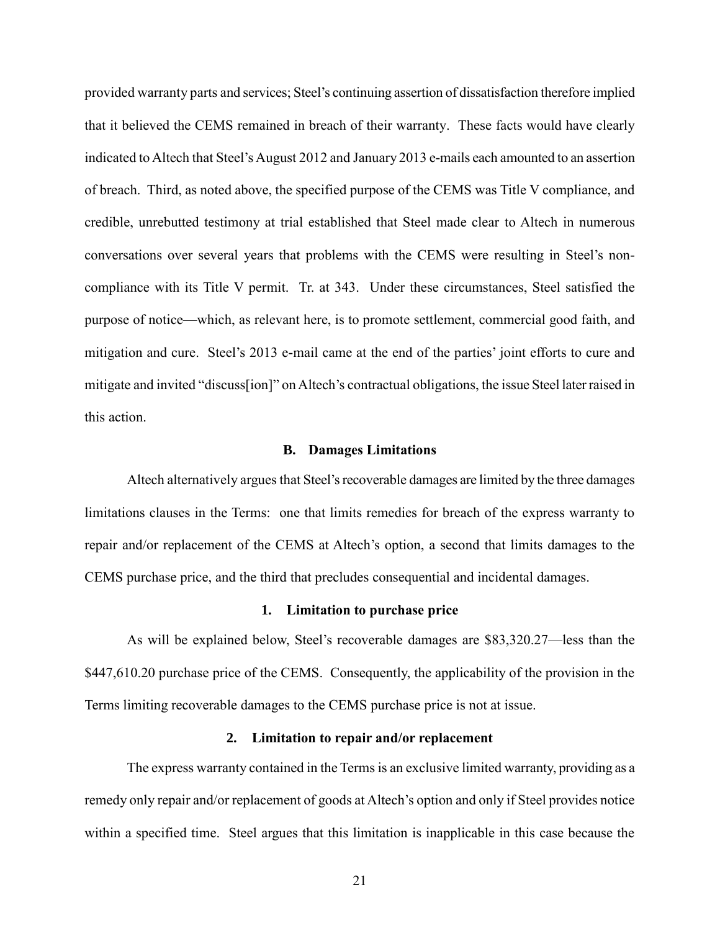provided warranty parts and services; Steel's continuing assertion of dissatisfaction therefore implied that it believed the CEMS remained in breach of their warranty. These facts would have clearly indicated to Altech that Steel's August 2012 and January 2013 e-mails each amounted to an assertion of breach. Third, as noted above, the specified purpose of the CEMS was Title V compliance, and credible, unrebutted testimony at trial established that Steel made clear to Altech in numerous conversations over several years that problems with the CEMS were resulting in Steel's noncompliance with its Title V permit. Tr. at 343. Under these circumstances, Steel satisfied the purpose of notice—which, as relevant here, is to promote settlement, commercial good faith, and mitigation and cure. Steel's 2013 e-mail came at the end of the parties' joint efforts to cure and mitigate and invited "discuss[ion]" on Altech's contractual obligations, the issue Steel later raised in this action.

#### **B. Damages Limitations**

Altech alternatively argues that Steel's recoverable damages are limited by the three damages limitations clauses in the Terms: one that limits remedies for breach of the express warranty to repair and/or replacement of the CEMS at Altech's option, a second that limits damages to the CEMS purchase price, and the third that precludes consequential and incidental damages.

## **1. Limitation to purchase price**

As will be explained below, Steel's recoverable damages are \$83,320.27—less than the \$447,610.20 purchase price of the CEMS. Consequently, the applicability of the provision in the Terms limiting recoverable damages to the CEMS purchase price is not at issue.

#### **2. Limitation to repair and/or replacement**

The express warranty contained in the Terms is an exclusive limited warranty, providing as a remedy only repair and/or replacement of goods at Altech's option and only if Steel provides notice within a specified time. Steel argues that this limitation is inapplicable in this case because the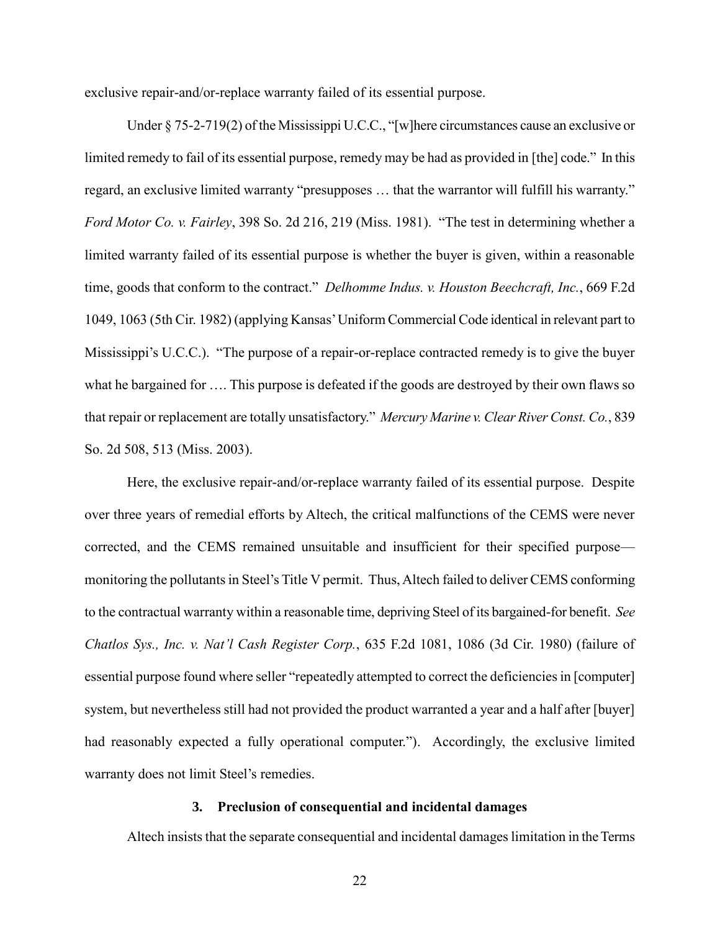exclusive repair-and/or-replace warranty failed of its essential purpose.

Under § 75-2-719(2) of the Mississippi U.C.C., "[w]here circumstances cause an exclusive or limited remedy to fail of its essential purpose, remedy may be had as provided in [the] code." In this regard, an exclusive limited warranty "presupposes … that the warrantor will fulfill his warranty." *Ford Motor Co. v. Fairley*, 398 So. 2d 216, 219 (Miss. 1981). "The test in determining whether a limited warranty failed of its essential purpose is whether the buyer is given, within a reasonable time, goods that conform to the contract." *Delhomme Indus. v. Houston Beechcraft, Inc.*, 669 F.2d 1049, 1063 (5th Cir. 1982) (applying Kansas' Uniform Commercial Code identical in relevant part to Mississippi's U.C.C.). "The purpose of a repair-or-replace contracted remedy is to give the buyer what he bargained for …. This purpose is defeated if the goods are destroyed by their own flaws so that repair or replacement are totally unsatisfactory." *Mercury Marine v. Clear River Const. Co.*, 839 So. 2d 508, 513 (Miss. 2003).

Here, the exclusive repair-and/or-replace warranty failed of its essential purpose. Despite over three years of remedial efforts by Altech, the critical malfunctions of the CEMS were never corrected, and the CEMS remained unsuitable and insufficient for their specified purpose monitoring the pollutants in Steel's Title V permit. Thus, Altech failed to deliver CEMS conforming to the contractual warranty within a reasonable time, depriving Steel of its bargained-for benefit. *See Chatlos Sys., Inc. v. Nat'l Cash Register Corp.*, 635 F.2d 1081, 1086 (3d Cir. 1980) (failure of essential purpose found where seller "repeatedly attempted to correct the deficiencies in [computer] system, but nevertheless still had not provided the product warranted a year and a half after [buyer] had reasonably expected a fully operational computer."). Accordingly, the exclusive limited warranty does not limit Steel's remedies.

#### **3. Preclusion of consequential and incidental damages**

Altech insists that the separate consequential and incidental damages limitation in the Terms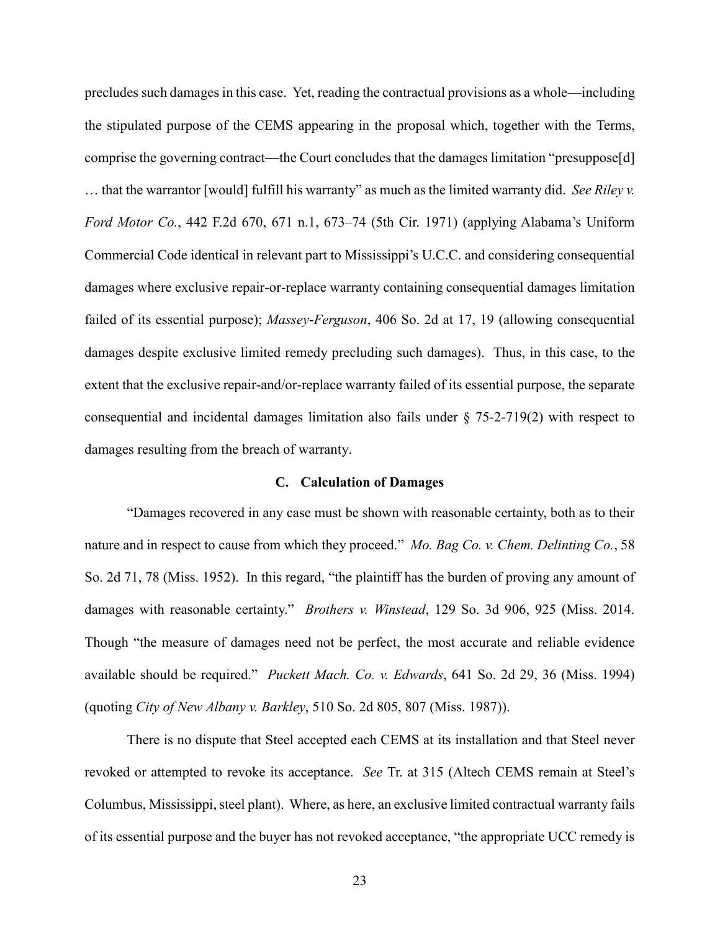precludes such damages in this case. Yet, reading the contractual provisions as a whole—including the stipulated purpose of the CEMS appearing in the proposal which, together with the Terms, comprise the governing contract—the Court concludes that the damages limitation "presuppose[d] … that the warrantor [would] fulfill his warranty" as much as the limited warranty did. *See Riley v. Ford Motor Co.*, 442 F.2d 670, 671 n.1, 673–74 (5th Cir. 1971) (applying Alabama's Uniform Commercial Code identical in relevant part to Mississippi's U.C.C. and considering consequential damages where exclusive repair-or-replace warranty containing consequential damages limitation failed of its essential purpose); *Massey*-*Ferguson*, 406 So. 2d at 17, 19 (allowing consequential damages despite exclusive limited remedy precluding such damages). Thus, in this case, to the extent that the exclusive repair-and/or-replace warranty failed of its essential purpose, the separate consequential and incidental damages limitation also fails under § 75-2-719(2) with respect to damages resulting from the breach of warranty.

#### **C. Calculation of Damages**

"Damages recovered in any case must be shown with reasonable certainty, both as to their nature and in respect to cause from which they proceed." *Mo. Bag Co. v. Chem. Delinting Co.*, 58 So. 2d 71, 78 (Miss. 1952). In this regard, "the plaintiff has the burden of proving any amount of damages with reasonable certainty." *Brothers v. Winstead*, 129 So. 3d 906, 925 (Miss. 2014. Though "the measure of damages need not be perfect, the most accurate and reliable evidence available should be required." *Puckett Mach. Co. v. Edwards*, 641 So. 2d 29, 36 (Miss. 1994) (quoting *City of New Albany v. Barkley*, 510 So. 2d 805, 807 (Miss. 1987)).

There is no dispute that Steel accepted each CEMS at its installation and that Steel never revoked or attempted to revoke its acceptance. *See* Tr. at 315 (Altech CEMS remain at Steel's Columbus, Mississippi, steel plant). Where, as here, an exclusive limited contractual warranty fails of its essential purpose and the buyer has not revoked acceptance, "the appropriate UCC remedy is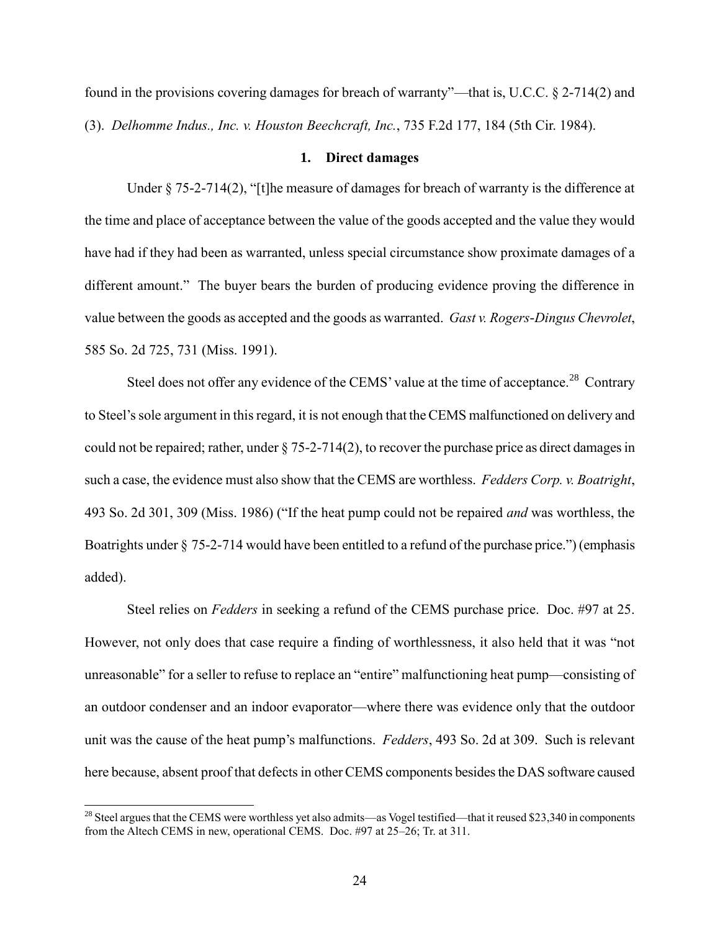found in the provisions covering damages for breach of warranty"—that is, U.C.C. § 2-714(2) and (3). *Delhomme Indus., Inc. v. Houston Beechcraft, Inc.*, 735 F.2d 177, 184 (5th Cir. 1984).

## **1. Direct damages**

Under § 75-2-714(2), "[t]he measure of damages for breach of warranty is the difference at the time and place of acceptance between the value of the goods accepted and the value they would have had if they had been as warranted, unless special circumstance show proximate damages of a different amount." The buyer bears the burden of producing evidence proving the difference in value between the goods as accepted and the goods as warranted. *Gast v. Rogers*-*Dingus Chevrolet*, 585 So. 2d 725, 731 (Miss. 1991).

Steel does not offer any evidence of the CEMS' value at the time of acceptance.<sup>28</sup> Contrary to Steel's sole argument in this regard, it is not enough that the CEMS malfunctioned on delivery and could not be repaired; rather, under § 75-2-714(2), to recover the purchase price as direct damages in such a case, the evidence must also show that the CEMS are worthless. *Fedders Corp. v. Boatright*, 493 So. 2d 301, 309 (Miss. 1986) ("If the heat pump could not be repaired *and* was worthless, the Boatrights under § 75-2-714 would have been entitled to a refund of the purchase price.") (emphasis added).

Steel relies on *Fedders* in seeking a refund of the CEMS purchase price. Doc. #97 at 25. However, not only does that case require a finding of worthlessness, it also held that it was "not unreasonable" for a seller to refuse to replace an "entire" malfunctioning heat pump—consisting of an outdoor condenser and an indoor evaporator—where there was evidence only that the outdoor unit was the cause of the heat pump's malfunctions. *Fedders*, 493 So. 2d at 309. Such is relevant here because, absent proof that defects in other CEMS components besides the DAS software caused

 $28$  Steel argues that the CEMS were worthless yet also admits—as Vogel testified—that it reused \$23,340 in components from the Altech CEMS in new, operational CEMS. Doc. #97 at 25–26; Tr. at 311.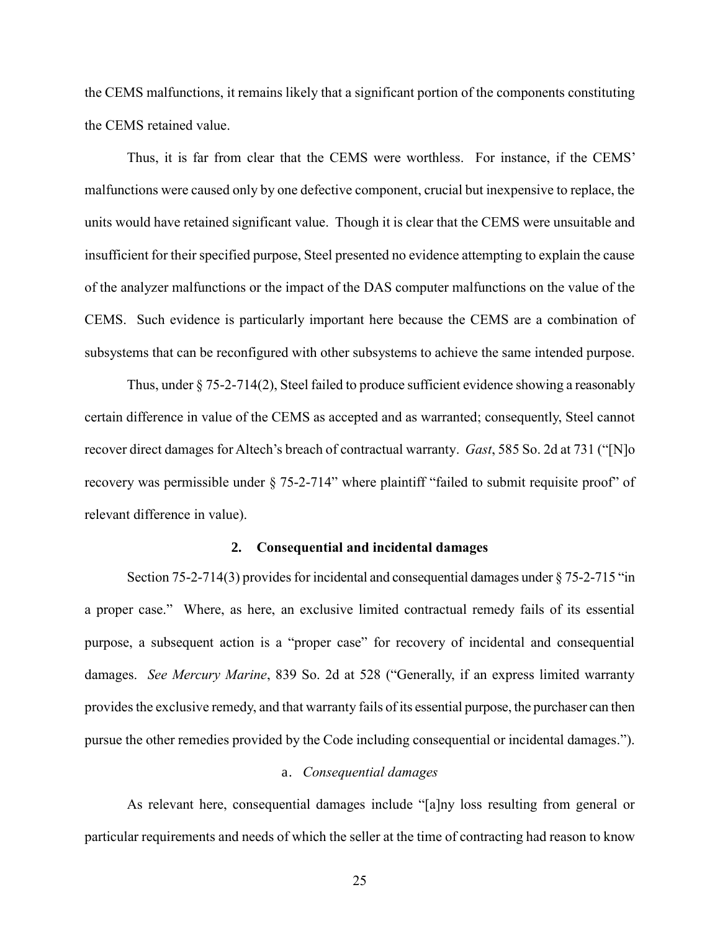the CEMS malfunctions, it remains likely that a significant portion of the components constituting the CEMS retained value.

Thus, it is far from clear that the CEMS were worthless. For instance, if the CEMS' malfunctions were caused only by one defective component, crucial but inexpensive to replace, the units would have retained significant value. Though it is clear that the CEMS were unsuitable and insufficient for their specified purpose, Steel presented no evidence attempting to explain the cause of the analyzer malfunctions or the impact of the DAS computer malfunctions on the value of the CEMS. Such evidence is particularly important here because the CEMS are a combination of subsystems that can be reconfigured with other subsystems to achieve the same intended purpose.

Thus, under § 75-2-714(2), Steel failed to produce sufficient evidence showing a reasonably certain difference in value of the CEMS as accepted and as warranted; consequently, Steel cannot recover direct damages for Altech's breach of contractual warranty. *Gast*, 585 So. 2d at 731 ("[N]o recovery was permissible under § 75-2-714" where plaintiff "failed to submit requisite proof" of relevant difference in value).

#### **2. Consequential and incidental damages**

Section 75-2-714(3) provides for incidental and consequential damages under § 75-2-715 "in a proper case." Where, as here, an exclusive limited contractual remedy fails of its essential purpose, a subsequent action is a "proper case" for recovery of incidental and consequential damages. *See Mercury Marine*, 839 So. 2d at 528 ("Generally, if an express limited warranty provides the exclusive remedy, and that warranty fails of its essential purpose, the purchaser can then pursue the other remedies provided by the Code including consequential or incidental damages.").

## a. *Consequential damages*

As relevant here, consequential damages include "[a]ny loss resulting from general or particular requirements and needs of which the seller at the time of contracting had reason to know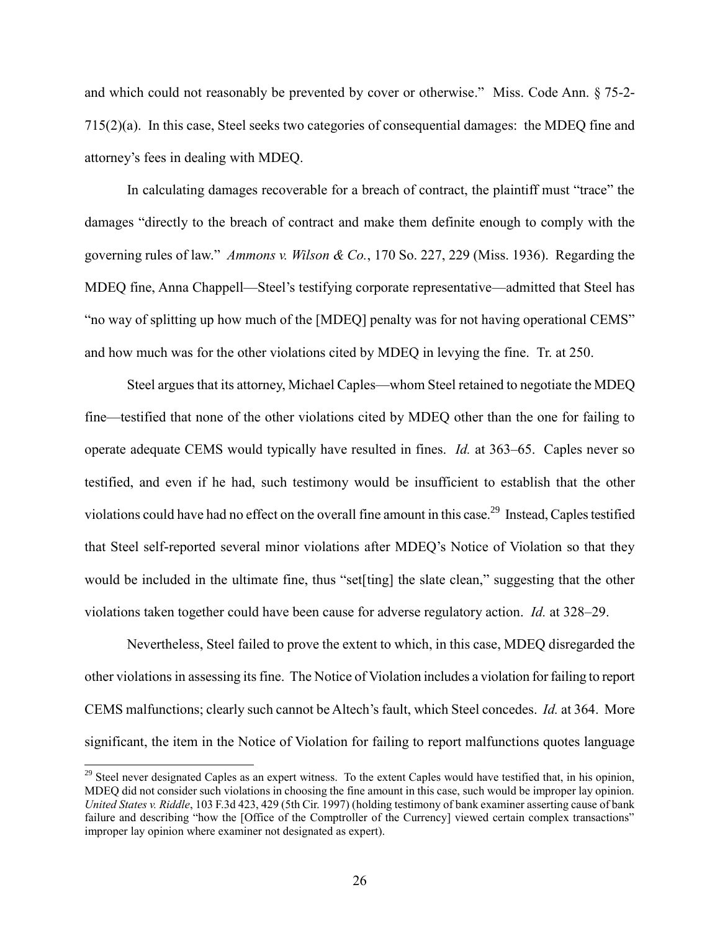and which could not reasonably be prevented by cover or otherwise." Miss. Code Ann. § 75-2- 715(2)(a). In this case, Steel seeks two categories of consequential damages: the MDEQ fine and attorney's fees in dealing with MDEQ.

In calculating damages recoverable for a breach of contract, the plaintiff must "trace" the damages "directly to the breach of contract and make them definite enough to comply with the governing rules of law." *Ammons v. Wilson & Co.*, 170 So. 227, 229 (Miss. 1936). Regarding the MDEQ fine, Anna Chappell—Steel's testifying corporate representative—admitted that Steel has "no way of splitting up how much of the [MDEQ] penalty was for not having operational CEMS" and how much was for the other violations cited by MDEQ in levying the fine. Tr. at 250.

Steel argues that its attorney, Michael Caples—whom Steel retained to negotiate the MDEQ fine—testified that none of the other violations cited by MDEQ other than the one for failing to operate adequate CEMS would typically have resulted in fines. *Id.* at 363–65. Caples never so testified, and even if he had, such testimony would be insufficient to establish that the other violations could have had no effect on the overall fine amount in this case.<sup>29</sup> Instead, Caples testified that Steel self-reported several minor violations after MDEQ's Notice of Violation so that they would be included in the ultimate fine, thus "set[ting] the slate clean," suggesting that the other violations taken together could have been cause for adverse regulatory action. *Id.* at 328–29.

Nevertheless, Steel failed to prove the extent to which, in this case, MDEQ disregarded the other violations in assessing its fine. The Notice of Violation includes a violation for failing to report CEMS malfunctions; clearly such cannot be Altech's fault, which Steel concedes. *Id.* at 364. More significant, the item in the Notice of Violation for failing to report malfunctions quotes language

<sup>&</sup>lt;sup>29</sup> Steel never designated Caples as an expert witness. To the extent Caples would have testified that, in his opinion, MDEQ did not consider such violations in choosing the fine amount in this case, such would be improper lay opinion. *United States v. Riddle*, 103 F.3d 423, 429 (5th Cir. 1997) (holding testimony of bank examiner asserting cause of bank failure and describing "how the [Office of the Comptroller of the Currency] viewed certain complex transactions" improper lay opinion where examiner not designated as expert).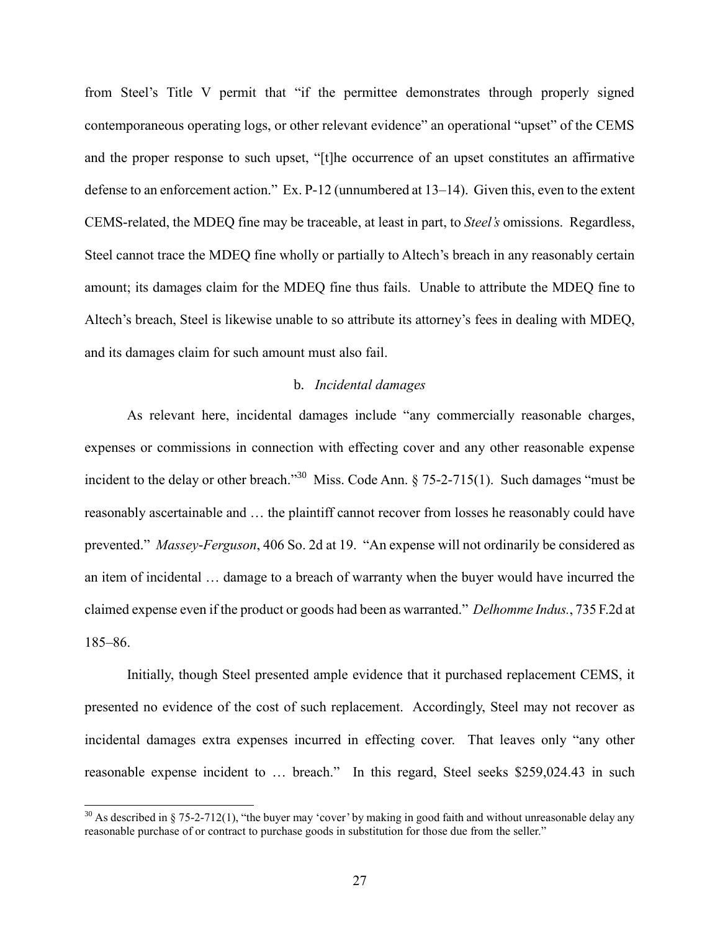from Steel's Title V permit that "if the permittee demonstrates through properly signed contemporaneous operating logs, or other relevant evidence" an operational "upset" of the CEMS and the proper response to such upset, "[t]he occurrence of an upset constitutes an affirmative defense to an enforcement action." Ex. P-12 (unnumbered at 13–14). Given this, even to the extent CEMS-related, the MDEQ fine may be traceable, at least in part, to *Steel's* omissions. Regardless, Steel cannot trace the MDEQ fine wholly or partially to Altech's breach in any reasonably certain amount; its damages claim for the MDEQ fine thus fails. Unable to attribute the MDEQ fine to Altech's breach, Steel is likewise unable to so attribute its attorney's fees in dealing with MDEQ, and its damages claim for such amount must also fail.

## b. *Incidental damages*

As relevant here, incidental damages include "any commercially reasonable charges, expenses or commissions in connection with effecting cover and any other reasonable expense incident to the delay or other breach."<sup>30</sup> Miss. Code Ann.  $\S 75-2-715(1)$ . Such damages "must be reasonably ascertainable and … the plaintiff cannot recover from losses he reasonably could have prevented." *Massey*-*Ferguson*, 406 So. 2d at 19. "An expense will not ordinarily be considered as an item of incidental … damage to a breach of warranty when the buyer would have incurred the claimed expense even if the product or goods had been as warranted." *Delhomme Indus.*, 735 F.2d at 185–86.

Initially, though Steel presented ample evidence that it purchased replacement CEMS, it presented no evidence of the cost of such replacement. Accordingly, Steel may not recover as incidental damages extra expenses incurred in effecting cover. That leaves only "any other reasonable expense incident to … breach." In this regard, Steel seeks \$259,024.43 in such

<sup>&</sup>lt;sup>30</sup> As described in § 75-2-712(1), "the buyer may 'cover' by making in good faith and without unreasonable delay any reasonable purchase of or contract to purchase goods in substitution for those due from the seller."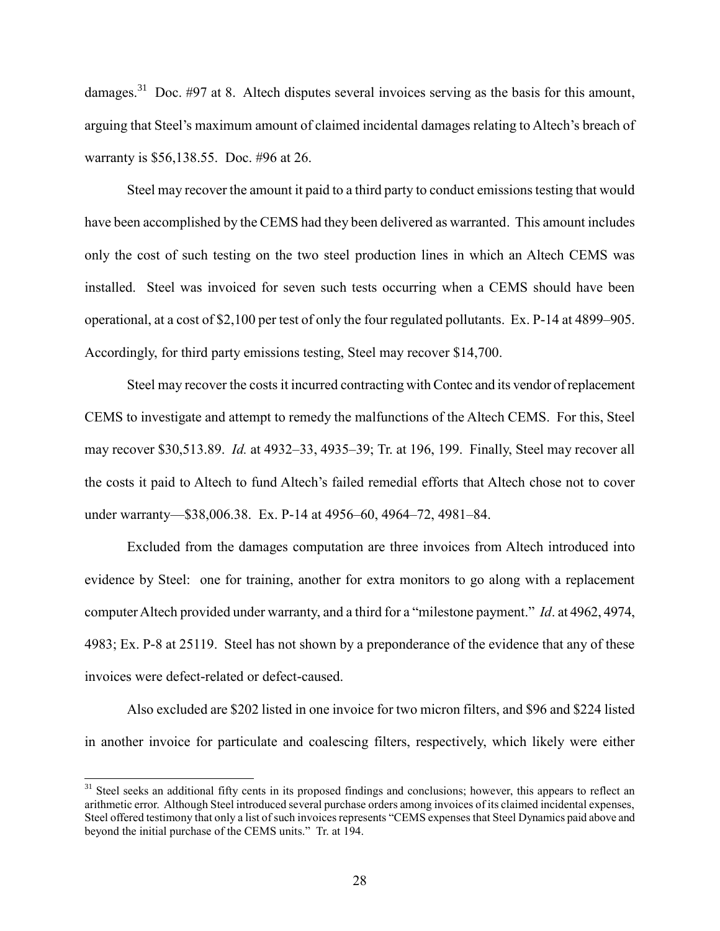damages.<sup>31</sup> Doc. #97 at 8. Altech disputes several invoices serving as the basis for this amount, arguing that Steel's maximum amount of claimed incidental damages relating to Altech's breach of warranty is \$56,138.55. Doc. #96 at 26.

Steel may recover the amount it paid to a third party to conduct emissions testing that would have been accomplished by the CEMS had they been delivered as warranted. This amount includes only the cost of such testing on the two steel production lines in which an Altech CEMS was installed. Steel was invoiced for seven such tests occurring when a CEMS should have been operational, at a cost of \$2,100 per test of only the four regulated pollutants. Ex. P-14 at 4899–905. Accordingly, for third party emissions testing, Steel may recover \$14,700.

Steel may recover the costs it incurred contracting with Contec and its vendor of replacement CEMS to investigate and attempt to remedy the malfunctions of the Altech CEMS. For this, Steel may recover \$30,513.89. *Id.* at 4932–33, 4935–39; Tr. at 196, 199. Finally, Steel may recover all the costs it paid to Altech to fund Altech's failed remedial efforts that Altech chose not to cover under warranty—\$38,006.38. Ex. P-14 at 4956–60, 4964–72, 4981–84.

Excluded from the damages computation are three invoices from Altech introduced into evidence by Steel: one for training, another for extra monitors to go along with a replacement computer Altech provided under warranty, and a third for a "milestone payment." *Id*. at 4962, 4974, 4983; Ex. P-8 at 25119. Steel has not shown by a preponderance of the evidence that any of these invoices were defect-related or defect-caused.

Also excluded are \$202 listed in one invoice for two micron filters, and \$96 and \$224 listed in another invoice for particulate and coalescing filters, respectively, which likely were either

 $31$  Steel seeks an additional fifty cents in its proposed findings and conclusions; however, this appears to reflect an arithmetic error. Although Steel introduced several purchase orders among invoices of its claimed incidental expenses, Steel offered testimony that only a list of such invoices represents "CEMS expenses that Steel Dynamics paid above and beyond the initial purchase of the CEMS units." Tr. at 194.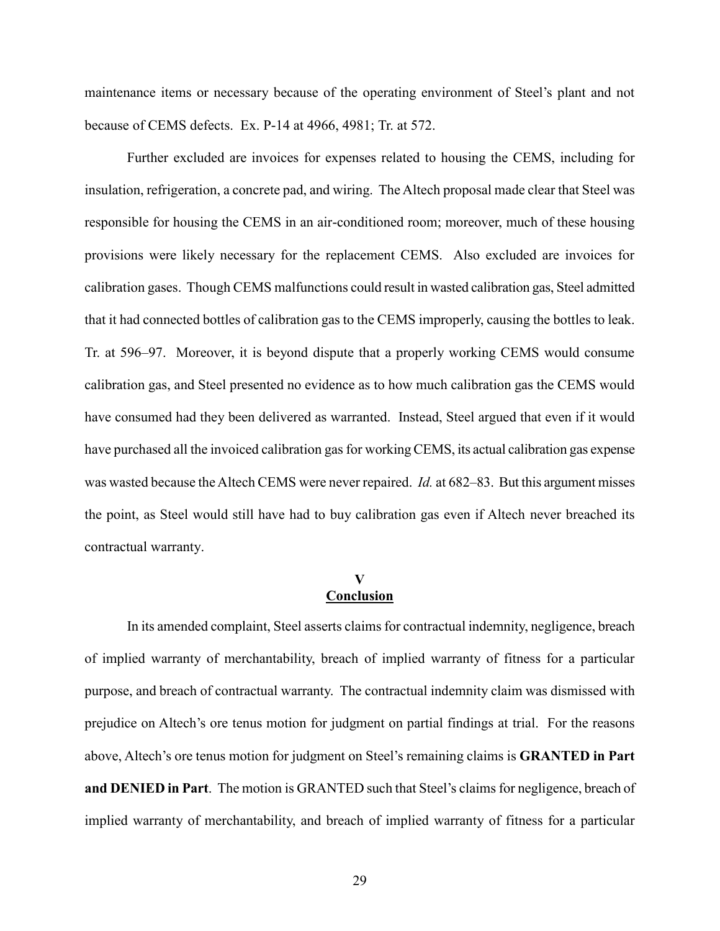maintenance items or necessary because of the operating environment of Steel's plant and not because of CEMS defects. Ex. P-14 at 4966, 4981; Tr. at 572.

Further excluded are invoices for expenses related to housing the CEMS, including for insulation, refrigeration, a concrete pad, and wiring. The Altech proposal made clear that Steel was responsible for housing the CEMS in an air-conditioned room; moreover, much of these housing provisions were likely necessary for the replacement CEMS. Also excluded are invoices for calibration gases. Though CEMS malfunctions could result in wasted calibration gas, Steel admitted that it had connected bottles of calibration gas to the CEMS improperly, causing the bottles to leak. Tr. at 596–97. Moreover, it is beyond dispute that a properly working CEMS would consume calibration gas, and Steel presented no evidence as to how much calibration gas the CEMS would have consumed had they been delivered as warranted. Instead, Steel argued that even if it would have purchased all the invoiced calibration gas for working CEMS, its actual calibration gas expense was wasted because the Altech CEMS were never repaired. *Id.* at 682–83. But this argument misses the point, as Steel would still have had to buy calibration gas even if Altech never breached its contractual warranty.

#### **V Conclusion**

In its amended complaint, Steel asserts claims for contractual indemnity, negligence, breach of implied warranty of merchantability, breach of implied warranty of fitness for a particular purpose, and breach of contractual warranty. The contractual indemnity claim was dismissed with prejudice on Altech's ore tenus motion for judgment on partial findings at trial. For the reasons above, Altech's ore tenus motion for judgment on Steel's remaining claims is **GRANTED in Part and DENIED in Part**. The motion is GRANTED such that Steel's claims for negligence, breach of implied warranty of merchantability, and breach of implied warranty of fitness for a particular